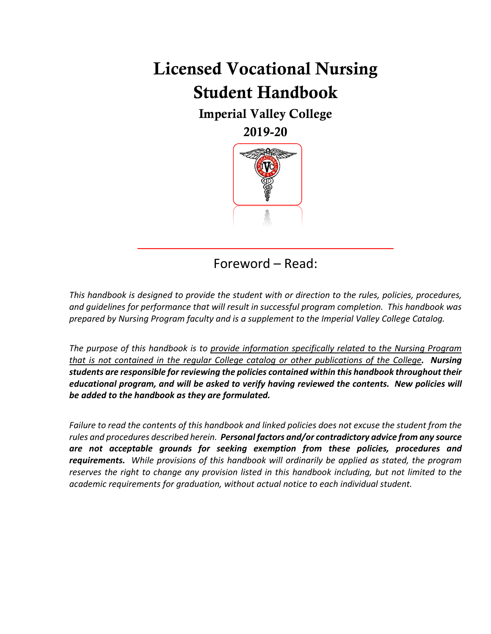# Licensed Vocational Nursing Student Handbook

Imperial Valley College

2019-20



Foreword – Read:

 $\overline{\phantom{a}}$  , where  $\overline{\phantom{a}}$  , where  $\overline{\phantom{a}}$  ,  $\overline{\phantom{a}}$  ,  $\overline{\phantom{a}}$  ,  $\overline{\phantom{a}}$  ,  $\overline{\phantom{a}}$  ,  $\overline{\phantom{a}}$  ,  $\overline{\phantom{a}}$  ,  $\overline{\phantom{a}}$  ,  $\overline{\phantom{a}}$  ,  $\overline{\phantom{a}}$  ,  $\overline{\phantom{a}}$  ,  $\overline{\phantom{a}}$  ,  $\overline{\phantom{a}}$  ,

<span id="page-0-0"></span>*This handbook is designed to provide the student with or direction to the rules, policies, procedures, and guidelines for performance that will result in successful program completion. This handbook was prepared by Nursing Program faculty and is a supplement to the Imperial Valley College Catalog.* 

*The purpose of this handbook is to provide information specifically related to the Nursing Program that is not contained in the regular College catalog or other publications of the College. Nursing students are responsible for reviewing the policies contained within this handbook throughout their educational program, and will be asked to verify having reviewed the contents. New policies will be added to the handbook as they are formulated.*

*Failure to read the contents of this handbook and linked policies does not excuse the student from the rules and procedures described herein. Personal factors and/or contradictory advice from any source are not acceptable grounds for seeking exemption from these policies, procedures and requirements. While provisions of this handbook will ordinarily be applied as stated, the program reserves the right to change any provision listed in this handbook including, but not limited to the academic requirements for graduation, without actual notice to each individual student.*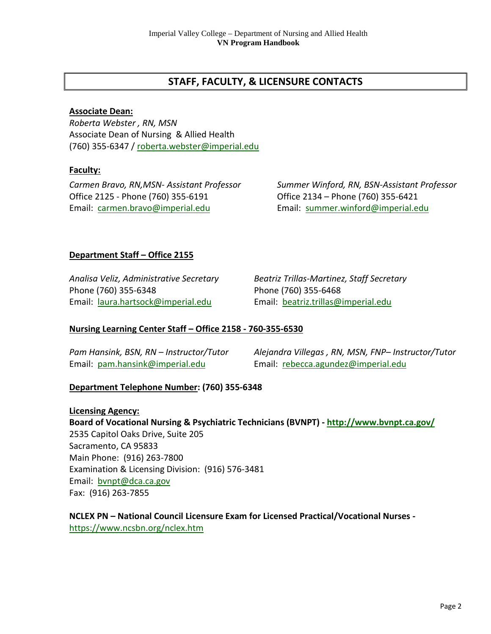# **STAFF, FACULTY, & LICENSURE CONTACTS**

# **Associate Dean:**

*Roberta Webster , RN, MSN* Associate Dean of Nursing & Allied Health (760) 355-6347 / [roberta.webster@imperial.edu](mailto:roberta.webster@imperial.edu)

# **Faculty:**

Office 2125 - Phone (760) 355-6191 Office 2134 – Phone (760) 355-6421 Email: [carmen.bravo@imperial.edu](mailto:carmen.bravo@imperial.edu) Email: [summer.winford@imperial.edu](mailto:summer.winford@imperial.edu)

*Carmen Bravo, RN,MSN- Assistant Professor Summer Winford, RN, BSN-Assistant Professor*

# **Department Staff – Office 2155**

Phone (760) 355-6348 Phone (760) 355-6468 Email: [laura.hartsock@imperial.edu](mailto:laura.hartsock@imperial.edu) Email: [beatriz.trillas@imperial.edu](mailto:beatriz.trillas@imperial.edu)

*Analisa Veliz, Administrative Secretary Beatriz Trillas-Martinez, Staff Secretary*

# **Nursing Learning Center Staff – Office 2158 - 760-355-6530**

Email: [pam.hansink@imperial.edu](mailto:pam.hansink@imperial.edu) Email: [rebecca.agundez@imperial.edu](mailto:rebecca.agundez@imperial.edu)

*Pam Hansink, BSN, RN – Instructor/Tutor Alejandra Villegas , RN, MSN, FNP– Instructor/Tutor*

# **Department Telephone Number: (760) 355-6348**

**Licensing Agency: Board of Vocational Nursing & Psychiatric Technicians (BVNPT) - <http://www.bvnpt.ca.gov/>** 2535 Capitol Oaks Drive, Suite 205 Sacramento, CA 95833 Main Phone: (916) 263-7800 Examination & Licensing Division: (916) 576-3481 Email: [bvnpt@dca.ca.gov](mailto:bvnpt@dca.ca.gov) Fax: (916) 263-7855

**NCLEX PN – National Council Licensure Exam for Licensed Practical/Vocational Nurses**  <https://www.ncsbn.org/nclex.htm>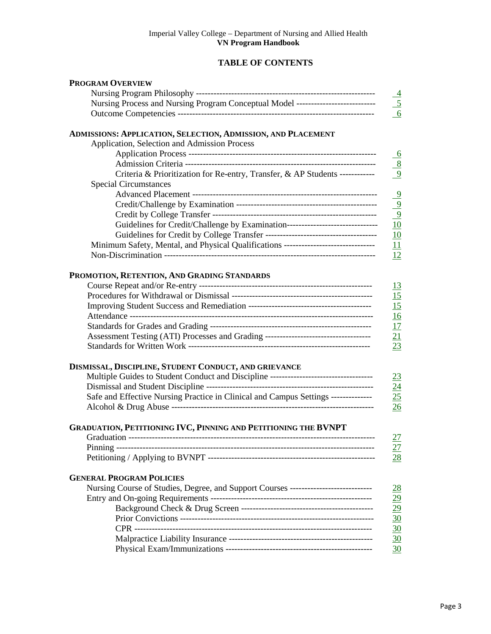# **TABLE OF CONTENTS**

| <b>PROGRAM OVERVIEW</b>                                                              |                         |
|--------------------------------------------------------------------------------------|-------------------------|
|                                                                                      |                         |
| Nursing Process and Nursing Program Conceptual Model ---------------------------     |                         |
|                                                                                      | $\frac{\frac{4}{5}}{6}$ |
| ADMISSIONS: APPLICATION, SELECTION, ADMISSION, AND PLACEMENT                         |                         |
| Application, Selection and Admission Process                                         |                         |
|                                                                                      | $6\overline{6}$         |
|                                                                                      | $\frac{8}{9}$           |
| Criteria & Prioritization for Re-entry, Transfer, & AP Students ------------         |                         |
| <b>Special Circumstances</b>                                                         |                         |
|                                                                                      |                         |
|                                                                                      | $\frac{9}{9}$           |
|                                                                                      |                         |
| Guidelines for Credit/Challenge by Examination---------------------------------      | 10                      |
|                                                                                      | 10                      |
| Minimum Safety, Mental, and Physical Qualifications -----------------------------    | 11                      |
|                                                                                      | 12                      |
| PROMOTION, RETENTION, AND GRADING STANDARDS                                          |                         |
|                                                                                      | <u>13</u>               |
|                                                                                      | 15                      |
|                                                                                      | 15                      |
|                                                                                      | 16                      |
|                                                                                      | 17                      |
| Assessment Testing (ATI) Processes and Grading ----------------------------------    | $\frac{21}{23}$         |
|                                                                                      |                         |
| DISMISSAL, DISCIPLINE, STUDENT CONDUCT, AND GRIEVANCE                                |                         |
| Multiple Guides to Student Conduct and Discipline ---------------------------------- | 23                      |
|                                                                                      | 24                      |
| Safe and Effective Nursing Practice in Clinical and Campus Settings --------------   | 25                      |
|                                                                                      | 26                      |
| <b>GRADUATION, PETITIONING IVC, PINNING AND PETITIONING THE BVNPT</b>                |                         |
|                                                                                      | <u>27</u>               |
|                                                                                      | 27                      |
|                                                                                      | 28                      |
| <b>GENERAL PROGRAM POLICIES</b>                                                      |                         |
| Nursing Course of Studies, Degree, and Support Courses ---------------------------   | $\overline{28}$         |
|                                                                                      | $\overline{29}$         |
|                                                                                      | $\frac{29}{30}$         |
|                                                                                      |                         |
|                                                                                      | 30                      |
|                                                                                      | 30                      |
|                                                                                      | 30                      |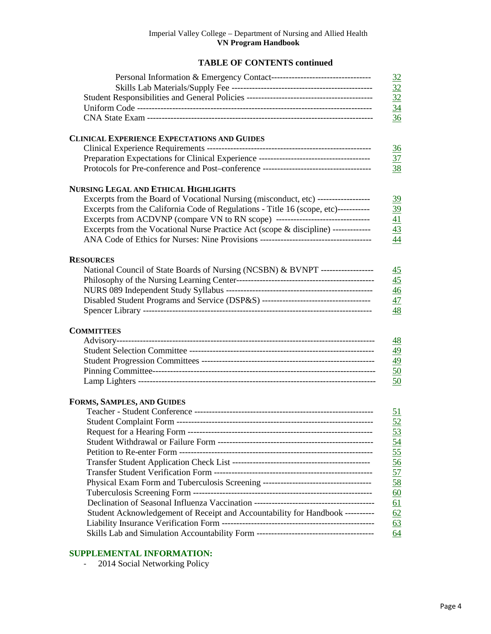# **TABLE OF CONTENTS continued**

<span id="page-3-0"></span>

| <b>CLINICAL EXPERIENCE EXPECTATIONS AND GUIDES</b>                                  |  |
|-------------------------------------------------------------------------------------|--|
|                                                                                     |  |
|                                                                                     |  |
|                                                                                     |  |
| <b>NURSING LEGAL AND ETHICAL HIGHLIGHTS</b>                                         |  |
| Excerpts from the Board of Vocational Nursing (misconduct, etc) ------------------  |  |
| Excerpts from the California Code of Regulations - Title 16 (scope, etc)----------- |  |
| Excerpts from ACDVNP (compare VN to RN scope) ----------------------------------    |  |
| Excerpts from the Vocational Nurse Practice Act (scope & discipline) ------------   |  |
|                                                                                     |  |
|                                                                                     |  |
| <b>RESOURCES</b>                                                                    |  |
| National Council of State Boards of Nursing (NCSBN) & BVNPT -------------------     |  |
|                                                                                     |  |
|                                                                                     |  |
| Disabled Student Programs and Service (DSP&S) -----------------------------------   |  |
|                                                                                     |  |
| <b>COMMITTEES</b>                                                                   |  |
|                                                                                     |  |
|                                                                                     |  |
|                                                                                     |  |
|                                                                                     |  |
|                                                                                     |  |
| FORMS, SAMPLES, AND GUIDES                                                          |  |
|                                                                                     |  |
|                                                                                     |  |
|                                                                                     |  |
|                                                                                     |  |
|                                                                                     |  |
|                                                                                     |  |
|                                                                                     |  |
|                                                                                     |  |
|                                                                                     |  |
|                                                                                     |  |
| Student Acknowledgement of Receipt and Accountability for Handbook ---------        |  |
|                                                                                     |  |
|                                                                                     |  |

# **SUPPLEMENTAL INFORMATION:**

- 2014 Social Networking Policy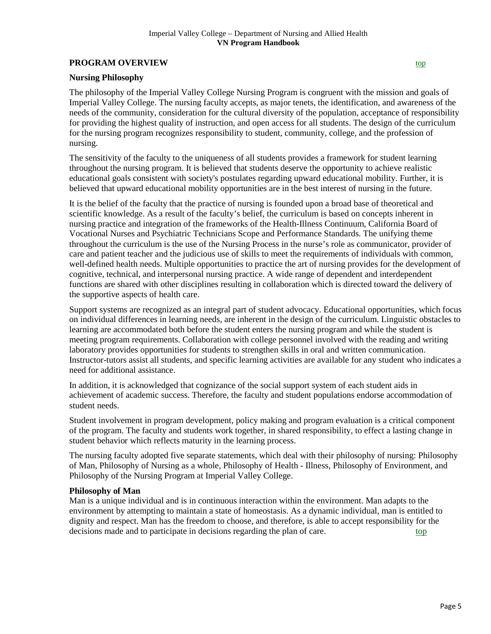# **PROGRAM OVERVIEW [top](#page-0-0)**

#### <span id="page-4-0"></span>**Nursing Philosophy**

The philosophy of the Imperial Valley College Nursing Program is congruent with the mission and goals of Imperial Valley College. The nursing faculty accepts, as major tenets, the identification, and awareness of the needs of the community, consideration for the cultural diversity of the population, acceptance of responsibility for providing the highest quality of instruction, and open access for all students. The design of the curriculum for the nursing program recognizes responsibility to student, community, college, and the profession of nursing.

The sensitivity of the faculty to the uniqueness of all students provides a framework for student learning throughout the nursing program. It is believed that students deserve the opportunity to achieve realistic educational goals consistent with society's postulates regarding upward educational mobility. Further, it is believed that upward educational mobility opportunities are in the best interest of nursing in the future.

It is the belief of the faculty that the practice of nursing is founded upon a broad base of theoretical and scientific knowledge. As a result of the faculty's belief, the curriculum is based on concepts inherent in nursing practice and integration of the frameworks of the Health-Illness Continuum, California Board of Vocational Nurses and Psychiatric Technicians Scope and Performance Standards. The unifying theme throughout the curriculum is the use of the Nursing Process in the nurse's role as communicator, provider of care and patient teacher and the judicious use of skills to meet the requirements of individuals with common, well-defined health needs. Multiple opportunities to practice the art of nursing provides for the development of cognitive, technical, and interpersonal nursing practice. A wide range of dependent and interdependent functions are shared with other disciplines resulting in collaboration which is directed toward the delivery of the supportive aspects of health care.

Support systems are recognized as an integral part of student advocacy. Educational opportunities, which focus on individual differences in learning needs, are inherent in the design of the curriculum. Linguistic obstacles to learning are accommodated both before the student enters the nursing program and while the student is meeting program requirements. Collaboration with college personnel involved with the reading and writing laboratory provides opportunities for students to strengthen skills in oral and written communication. Instructor-tutors assist all students, and specific learning activities are available for any student who indicates a need for additional assistance.

In addition, it is acknowledged that cognizance of the social support system of each student aids in achievement of academic success. Therefore, the faculty and student populations endorse accommodation of student needs.

Student involvement in program development, policy making and program evaluation is a critical component of the program. The faculty and students work together, in shared responsibility, to effect a lasting change in student behavior which reflects maturity in the learning process.

The nursing faculty adopted five separate statements, which deal with their philosophy of nursing: Philosophy of Man, Philosophy of Nursing as a whole, Philosophy of Health - Illness, Philosophy of Environment, and Philosophy of the Nursing Program at Imperial Valley College.

#### **Philosophy of Man**

Man is a unique individual and is in continuous interaction within the environment. Man adapts to the environment by attempting to maintain a state of homeostasis. As a dynamic individual, man is entitled to dignity and respect. Man has the freedom to choose, and therefore, is able to accept responsibility for the decisions made and to participate in decisions regarding the plan of care. to [top](#page-0-0)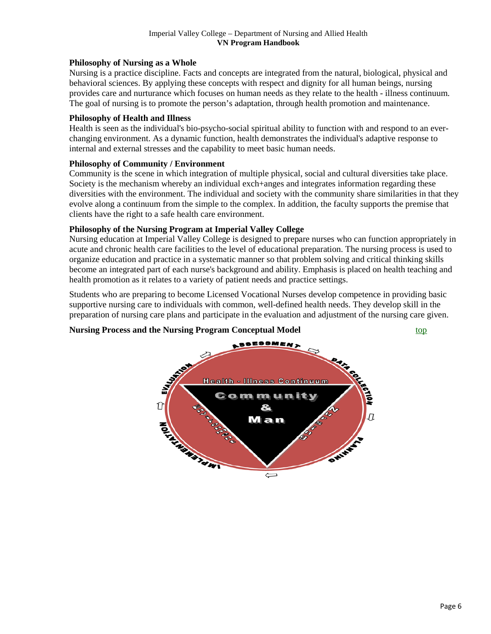# **Philosophy of Nursing as a Whole**

Nursing is a practice discipline. Facts and concepts are integrated from the natural, biological, physical and behavioral sciences. By applying these concepts with respect and dignity for all human beings, nursing provides care and nurturance which focuses on human needs as they relate to the health - illness continuum. The goal of nursing is to promote the person's adaptation, through health promotion and maintenance.

# **Philosophy of Health and Illness**

Health is seen as the individual's bio-psycho-social spiritual ability to function with and respond to an everchanging environment. As a dynamic function, health demonstrates the individual's adaptive response to internal and external stresses and the capability to meet basic human needs.

# **Philosophy of Community / Environment**

Community is the scene in which integration of multiple physical, social and cultural diversities take place. Society is the mechanism whereby an individual exch+anges and integrates information regarding these diversities with the environment. The individual and society with the community share similarities in that they evolve along a continuum from the simple to the complex. In addition, the faculty supports the premise that clients have the right to a safe health care environment.

# **Philosophy of the Nursing Program at Imperial Valley College**

Nursing education at Imperial Valley College is designed to prepare nurses who can function appropriately in acute and chronic health care facilities to the level of educational preparation. The nursing process is used to organize education and practice in a systematic manner so that problem solving and critical thinking skills become an integrated part of each nurse's background and ability. Emphasis is placed on health teaching and health promotion as it relates to a variety of patient needs and practice settings.

Students who are preparing to become Licensed Vocational Nurses develop competence in providing basic supportive nursing care to individuals with common, well-defined health needs. They develop skill in the preparation of nursing care plans and participate in the evaluation and adjustment of the nursing care given.

# <span id="page-5-0"></span>**Nursing Process and the Nursing Program Conceptual Model** [top](#page-0-0)

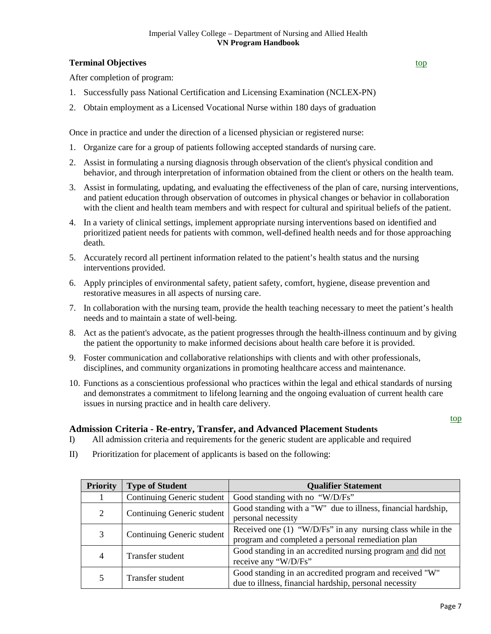# <span id="page-6-0"></span>**Terminal Objectives [top](#page-0-0)**

After completion of program:

- 1. Successfully pass National Certification and Licensing Examination (NCLEX-PN)
- 2. Obtain employment as a Licensed Vocational Nurse within 180 days of graduation

Once in practice and under the direction of a licensed physician or registered nurse:

- 1. Organize care for a group of patients following accepted standards of nursing care.
- 2. Assist in formulating a nursing diagnosis through observation of the client's physical condition and behavior, and through interpretation of information obtained from the client or others on the health team.
- 3. Assist in formulating, updating, and evaluating the effectiveness of the plan of care, nursing interventions, and patient education through observation of outcomes in physical changes or behavior in collaboration with the client and health team members and with respect for cultural and spiritual beliefs of the patient.
- 4. In a variety of clinical settings, implement appropriate nursing interventions based on identified and prioritized patient needs for patients with common, well-defined health needs and for those approaching death.
- 5. Accurately record all pertinent information related to the patient's health status and the nursing interventions provided.
- 6. Apply principles of environmental safety, patient safety, comfort, hygiene, disease prevention and restorative measures in all aspects of nursing care.
- 7. In collaboration with the nursing team, provide the health teaching necessary to meet the patient's health needs and to maintain a state of well-being.
- 8. Act as the patient's advocate, as the patient progresses through the health-illness continuum and by giving the patient the opportunity to make informed decisions about health care before it is provided.
- 9. Foster communication and collaborative relationships with clients and with other professionals, disciplines, and community organizations in promoting healthcare access and maintenance.
- 10. Functions as a conscientious professional who practices within the legal and ethical standards of nursing and demonstrates a commitment to lifelong learning and the ongoing evaluation of current health care issues in nursing practice and in health care delivery.

#### [top](#page-0-0)

# **Admission Criteria - Re-entry, Transfer, and Advanced Placement Students**

- I) All admission criteria and requirements for the generic student are applicable and required
- <span id="page-6-1"></span>II) Prioritization for placement of applicants is based on the following:

| <b>Priority</b> | <b>Type of Student</b>     | <b>Qualifier Statement</b>                                                                                         |  |  |
|-----------------|----------------------------|--------------------------------------------------------------------------------------------------------------------|--|--|
|                 | Continuing Generic student | Good standing with no "W/D/Fs"                                                                                     |  |  |
| 2               | Continuing Generic student | Good standing with a "W" due to illness, financial hardship,<br>personal necessity                                 |  |  |
| 3               | Continuing Generic student | Received one $(1)$ "W/D/Fs" in any nursing class while in the<br>program and completed a personal remediation plan |  |  |
| 4               | Transfer student           | Good standing in an accredited nursing program and did not<br>receive any "W/D/Fs"                                 |  |  |
|                 | Transfer student           | Good standing in an accredited program and received "W"<br>due to illness, financial hardship, personal necessity  |  |  |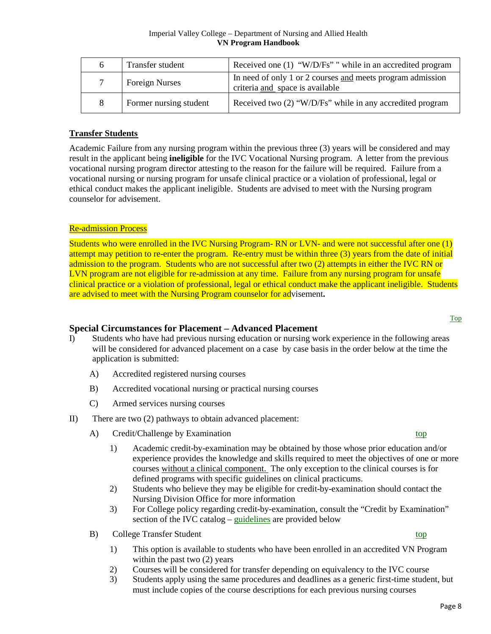| 6 | Transfer student       | Received one $(1)$ "W/D/Fs" " while in an accredited program                                  |
|---|------------------------|-----------------------------------------------------------------------------------------------|
|   | <b>Foreign Nurses</b>  | In need of only 1 or 2 courses and meets program admission<br>criteria and space is available |
| 8 | Former nursing student | Received two (2) "W/D/Fs" while in any accredited program                                     |

# **Transfer Students**

Academic Failure from any nursing program within the previous three (3) years will be considered and may result in the applicant being **ineligible** for the IVC Vocational Nursing program. A letter from the previous vocational nursing program director attesting to the reason for the failure will be required. Failure from a vocational nursing or nursing program for unsafe clinical practice or a violation of professional, legal or ethical conduct makes the applicant ineligible. Students are advised to meet with the Nursing program counselor for advisement.

# Re-admission Process

Students who were enrolled in the IVC Nursing Program- RN or LVN- and were not successful after one (1) attempt may petition to re-enter the program. Re-entry must be within three (3) years from the date of initial admission to the program. Students who are not successful after two (2) attempts in either the IVC RN or LVN program are not eligible for re-admission at any time. Failure from any nursing program for unsafe clinical practice or a violation of professional, legal or ethical conduct make the applicant ineligible. Students are advised to meet with the Nursing Program counselor for advisement**.** 

# <span id="page-7-0"></span>**Special Circumstances for Placement – Advanced Placement**

- I) Students who have had previous nursing education or nursing work experience in the following areas will be considered for advanced placement on a case by case basis in the order below at the time the application is submitted:
	- A) Accredited registered nursing courses
	- B) Accredited vocational nursing or practical nursing courses
	- C) Armed services nursing courses
- <span id="page-7-2"></span><span id="page-7-1"></span>II) There are two (2) pathways to obtain advanced placement:
	- A) Credit/Challenge by Examination [top](#page-0-0)
		- 1) Academic credit-by-examination may be obtained by those whose prior education and/or experience provides the knowledge and skills required to meet the objectives of one or more courses without a clinical component. The only exception to the clinical courses is for defined programs with specific guidelines on clinical practicums.
		- 2) Students who believe they may be eligible for credit-by-examination should contact the Nursing Division Office for more information
		- 3) For College policy regarding credit-by-examination, consult the "Credit by Examination" section of the IVC catalog – [guidelines](#page-8-0) are provided below
	- B) College Transfer Student [top](#page-0-0)
		- 1) This option is available to students who have been enrolled in an accredited VN Program within the past two (2) years
		- 2) Courses will be considered for transfer depending on equivalency to the IVC course
		- 3) Students apply using the same procedures and deadlines as a generic first-time student, but must include copies of the course descriptions for each previous nursing courses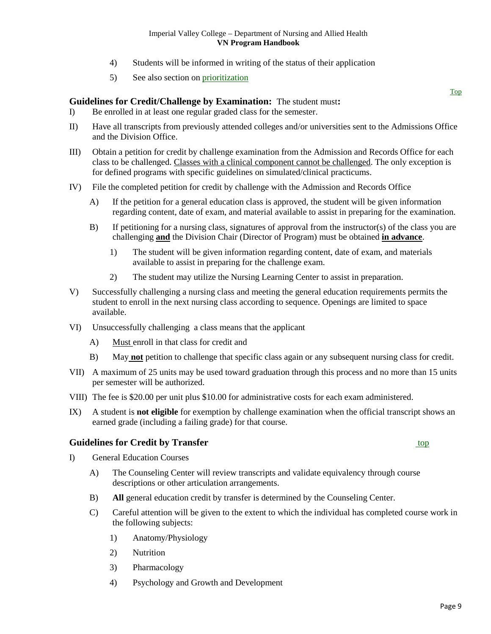- 4) Students will be informed in writing of the status of their application
- 5) See also section on [prioritization](#page-6-1)

# <span id="page-8-0"></span>**Guidelines for Credit/Challenge by Examination:** The student must**:**

- I) Be enrolled in at least one regular graded class for the semester.
- II) Have all transcripts from previously attended colleges and/or universities sent to the Admissions Office and the Division Office.
- III) Obtain a petition for credit by challenge examination from the Admission and Records Office for each class to be challenged. Classes with a clinical component cannot be challenged. The only exception is for defined programs with specific guidelines on simulated/clinical practicums.
- IV) File the completed petition for credit by challenge with the Admission and Records Office
	- A) If the petition for a general education class is approved, the student will be given information regarding content, date of exam, and material available to assist in preparing for the examination.
	- B) If petitioning for a nursing class, signatures of approval from the instructor(s) of the class you are challenging **and** the Division Chair (Director of Program) must be obtained **in advance**.
		- 1) The student will be given information regarding content, date of exam, and materials available to assist in preparing for the challenge exam.
		- 2) The student may utilize the Nursing Learning Center to assist in preparation.
- V) Successfully challenging a nursing class and meeting the general education requirements permits the student to enroll in the next nursing class according to sequence. Openings are limited to space available.
- VI) Unsuccessfully challenging a class means that the applicant
	- A) Must enroll in that class for credit and
	- B) May **not** petition to challenge that specific class again or any subsequent nursing class for credit.
- VII) A maximum of 25 units may be used toward graduation through this process and no more than 15 units per semester will be authorized.
- VIII) The fee is \$20.00 per unit plus \$10.00 for administrative costs for each exam administered.
- IX) A student is **not eligible** for exemption by challenge examination when the official transcript shows an earned grade (including a failing grade) for that course.

# <span id="page-8-1"></span>**Guidelines for Credit by Transfer** [top](#page-0-0) top

- I) General Education Courses
	- A) The Counseling Center will review transcripts and validate equivalency through course descriptions or other articulation arrangements.
	- B) **All** general education credit by transfer is determined by the Counseling Center.
	- C) Careful attention will be given to the extent to which the individual has completed course work in the following subjects:
		- 1) Anatomy/Physiology
		- 2) Nutrition
		- 3) Pharmacology
		- 4) Psychology and Growth and Development

[Top](#page-0-0)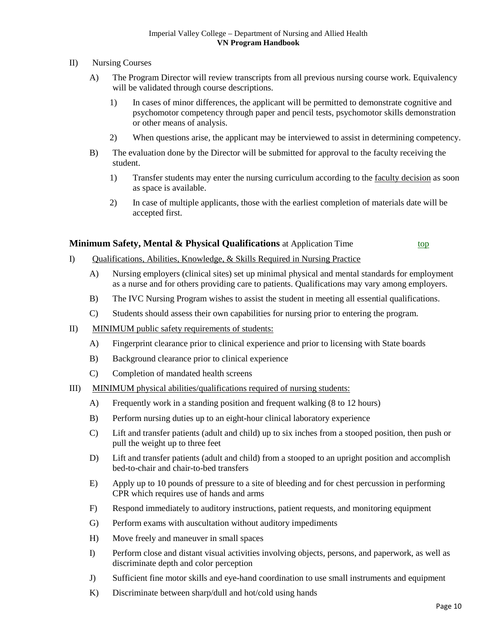- II) Nursing Courses
	- A) The Program Director will review transcripts from all previous nursing course work. Equivalency will be validated through course descriptions.
		- 1) In cases of minor differences, the applicant will be permitted to demonstrate cognitive and psychomotor competency through paper and pencil tests, psychomotor skills demonstration or other means of analysis.
		- 2) When questions arise, the applicant may be interviewed to assist in determining competency.
	- B) The evaluation done by the Director will be submitted for approval to the faculty receiving the student.
		- 1) Transfer students may enter the nursing curriculum according to the faculty decision as soon as space is available.
		- 2) In case of multiple applicants, those with the earliest completion of materials date will be accepted first.

# <span id="page-9-0"></span>**Minimum Safety, Mental & Physical Qualifications** at Application Time [top](#page-0-0)

- I) Qualifications, Abilities, Knowledge, & Skills Required in Nursing Practice
	- A) Nursing employers (clinical sites) set up minimal physical and mental standards for employment as a nurse and for others providing care to patients. Qualifications may vary among employers.
	- B) The IVC Nursing Program wishes to assist the student in meeting all essential qualifications.
	- C) Students should assess their own capabilities for nursing prior to entering the program.
- II) MINIMUM public safety requirements of students:
	- A) Fingerprint clearance prior to clinical experience and prior to licensing with State boards
	- B) Background clearance prior to clinical experience
	- C) Completion of mandated health screens
- III) MINIMUM physical abilities/qualifications required of nursing students:
	- A) Frequently work in a standing position and frequent walking (8 to 12 hours)
	- B) Perform nursing duties up to an eight-hour clinical laboratory experience
	- C) Lift and transfer patients (adult and child) up to six inches from a stooped position, then push or pull the weight up to three feet
	- D) Lift and transfer patients (adult and child) from a stooped to an upright position and accomplish bed-to-chair and chair-to-bed transfers
	- E) Apply up to 10 pounds of pressure to a site of bleeding and for chest percussion in performing CPR which requires use of hands and arms
	- F) Respond immediately to auditory instructions, patient requests, and monitoring equipment
	- G) Perform exams with auscultation without auditory impediments
	- H) Move freely and maneuver in small spaces
	- I) Perform close and distant visual activities involving objects, persons, and paperwork, as well as discriminate depth and color perception
	- J) Sufficient fine motor skills and eye-hand coordination to use small instruments and equipment
	- K) Discriminate between sharp/dull and hot/cold using hands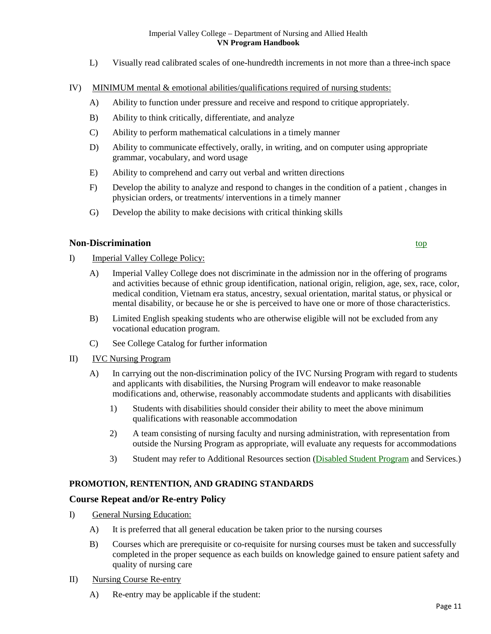- L) Visually read calibrated scales of one-hundredth increments in not more than a three-inch space
- IV) MINIMUM mental & emotional abilities/qualifications required of nursing students:
	- A) Ability to function under pressure and receive and respond to critique appropriately.
	- B) Ability to think critically, differentiate, and analyze
	- C) Ability to perform mathematical calculations in a timely manner
	- D) Ability to communicate effectively, orally, in writing, and on computer using appropriate grammar, vocabulary, and word usage
	- E) Ability to comprehend and carry out verbal and written directions
	- F) Develop the ability to analyze and respond to changes in the condition of a patient , changes in physician orders, or treatments/ interventions in a timely manner
	- G) Develop the ability to make decisions with critical thinking skills

# <span id="page-10-0"></span>**Non-Discrimination**

- I) Imperial Valley College Policy:
	- A) Imperial Valley College does not discriminate in the admission nor in the offering of programs and activities because of ethnic group identification, national origin, religion, age, sex, race, color, medical condition, Vietnam era status, ancestry, sexual orientation, marital status, or physical or mental disability, or because he or she is perceived to have one or more of those characteristics.
	- B) Limited English speaking students who are otherwise eligible will not be excluded from any vocational education program.
	- C) See College Catalog for further information
- II) IVC Nursing Program
	- A) In carrying out the non-discrimination policy of the IVC Nursing Program with regard to students and applicants with disabilities, the Nursing Program will endeavor to make reasonable modifications and, otherwise, reasonably accommodate students and applicants with disabilities
		- 1) Students with disabilities should consider their ability to meet the above minimum qualifications with reasonable accommodation
		- 2) A team consisting of nursing faculty and nursing administration, with representation from outside the Nursing Program as appropriate, will evaluate any requests for accommodations
		- 3) Student may refer to Additional Resources section [\(Disabled Student Program](#page-45-0) and Services.)

# **PROMOTION, RENTENTION, AND GRADING STANDARDS**

# <span id="page-10-1"></span>**Course Repeat and/or Re-entry Policy**

- I) General Nursing Education:
	- A) It is preferred that all general education be taken prior to the nursing courses
	- B) Courses which are prerequisite or co-requisite for nursing courses must be taken and successfully completed in the proper sequence as each builds on knowledge gained to ensure patient safety and quality of nursing care
- II) Nursing Course Re-entry
	- A) Re-entry may be applicable if the student: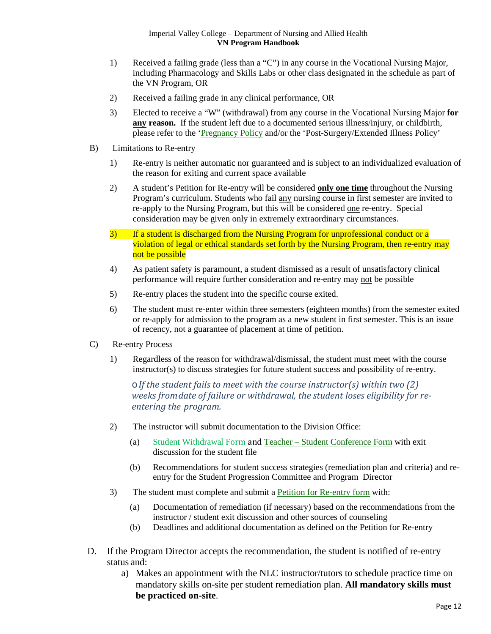- 1) Received a failing grade (less than a "C") in any course in the Vocational Nursing Major, including Pharmacology and Skills Labs or other class designated in the schedule as part of the VN Program, OR
- 2) Received a failing grade in any clinical performance, OR
- 3) Elected to receive a "W" (withdrawal) from any course in the Vocational Nursing Major **for any reason.** If the student left due to a documented serious illness/injury, or childbirth, please refer to the ['Pregnancy Policy](#page-30-1) and/or the 'Post-Surgery/Extended Illness Policy'
- B) Limitations to Re-entry
	- 1) Re-entry is neither automatic nor guaranteed and is subject to an individualized evaluation of the reason for exiting and current space available
	- 2) A student's Petition for Re-entry will be considered **only one time** throughout the Nursing Program's curriculum. Students who fail any nursing course in first semester are invited to re-apply to the Nursing Program, but this will be considered one re-entry. Special consideration may be given only in extremely extraordinary circumstances.
	- 3) If a student is discharged from the Nursing Program for unprofessional conduct or a violation of legal or ethical standards set forth by the Nursing Program, then re-entry may not be possible
	- 4) As patient safety is paramount, a student dismissed as a result of unsatisfactory clinical performance will require further consideration and re-entry may not be possible
	- 5) Re-entry places the student into the specific course exited.
	- 6) The student must re-enter within three semesters (eighteen months) from the semester exited or re-apply for admission to the program as a new student in first semester. This is an issue of recency, not a guarantee of placement at time of petition.
- C) Re-entry Process
	- 1) Regardless of the reason for withdrawal/dismissal, the student must meet with the course instructor(s) to discuss strategies for future student success and possibility of re-entry.

o*If the student fails to meet with the course instructor(s) within two (2) weeks fromdate of failure or withdrawal, the student loses eligibility for reentering the program.*

- 2) The instructor will submit documentation to the Division Office:
	- (a) Student Withdrawal Form and Teacher Student Conference Form with exit discussion for the student file
	- (b) Recommendations for student success strategies (remediation plan and criteria) and reentry for the Student Progression Committee and Program Director
- 3) The student must complete and submit a **Petition for Re-entry form** with:
	- (a) Documentation of remediation (if necessary) based on the recommendations from the instructor / student exit discussion and other sources of counseling
	- (b) Deadlines and additional documentation as defined on the Petition for Re-entry
- D. If the Program Director accepts the recommendation, the student is notified of re-entry status and:
	- a) Makes an appointment with the NLC instructor/tutors to schedule practice time on mandatory skills on-site per student remediation plan. **All mandatory skills must be practiced on-site**.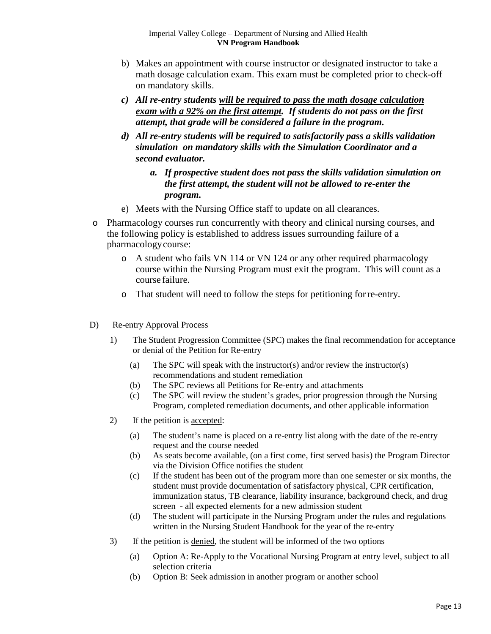- b) Makes an appointment with course instructor or designated instructor to take a math dosage calculation exam. This exam must be completed prior to check-off on mandatory skills.
- *c) All re-entry students will be required to pass the math dosage calculation exam with a 92% on the first attempt. If students do not pass on the first attempt, that grade will be considered a failure in the program.*
- *d) All re-entry students will be required to satisfactorily pass a skills validation simulation on mandatory skills with the Simulation Coordinator and a second evaluator.* 
	- *a. If prospective student does not pass the skills validation simulation on the first attempt, the student will not be allowed to re-enter the program.*
- e) Meets with the Nursing Office staff to update on all clearances.
- o Pharmacology courses run concurrently with theory and clinical nursing courses, and the following policy is established to address issues surrounding failure of a pharmacologycourse:
	- o A student who fails VN 114 or VN 124 or any other required pharmacology course within the Nursing Program must exit the program. This will count as a course failure.
	- o That student will need to follow the steps for petitioning forre-entry.
- D) Re-entry Approval Process
	- 1) The Student Progression Committee (SPC) makes the final recommendation for acceptance or denial of the Petition for Re-entry
		- (a) The SPC will speak with the instructor(s) and/or review the instructor(s) recommendations and student remediation
		- (b) The SPC reviews all Petitions for Re-entry and attachments
		- (c) The SPC will review the student's grades, prior progression through the Nursing Program, completed remediation documents, and other applicable information
	- 2) If the petition is accepted:
		- (a) The student's name is placed on a re-entry list along with the date of the re-entry request and the course needed
		- (b) As seats become available, (on a first come, first served basis) the Program Director via the Division Office notifies the student
		- (c) If the student has been out of the program more than one semester or six months, the student must provide documentation of satisfactory physical, CPR certification, immunization status, TB clearance, liability insurance, background check, and drug screen - all expected elements for a new admission student
		- (d) The student will participate in the Nursing Program under the rules and regulations written in the Nursing Student Handbook for the year of the re-entry
	- 3) If the petition is denied, the student will be informed of the two options
		- (a) Option A: Re-Apply to the Vocational Nursing Program at entry level, subject to all selection criteria
		- (b) Option B: Seek admission in another program or another school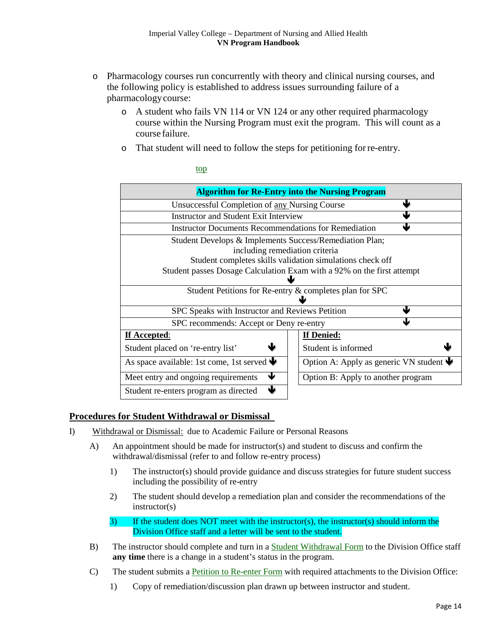- o Pharmacology courses run concurrently with theory and clinical nursing courses, and the following policy is established to address issues surrounding failure of a pharmacologycourse:
	- o A student who fails VN 114 or VN 124 or any other required pharmacology course within the Nursing Program must exit the program. This will count as a course failure.
	- o That student will need to follow the steps for petitioning forre-entry.

| <b>Algorithm for Re-Entry into the Nursing Program</b>                         |                                                       |  |  |  |
|--------------------------------------------------------------------------------|-------------------------------------------------------|--|--|--|
| ш<br>Unsuccessful Completion of any Nursing Course                             |                                                       |  |  |  |
| <b>Instructor and Student Exit Interview</b>                                   |                                                       |  |  |  |
| <b>Instructor Documents Recommendations for Remediation</b>                    |                                                       |  |  |  |
| Student Develops & Implements Success/Remediation Plan;                        |                                                       |  |  |  |
| including remediation criteria                                                 |                                                       |  |  |  |
| Student completes skills validation simulations check off                      |                                                       |  |  |  |
| Student passes Dosage Calculation Exam with a 92% on the first attempt         |                                                       |  |  |  |
|                                                                                |                                                       |  |  |  |
| Student Petitions for Re-entry & completes plan for SPC                        |                                                       |  |  |  |
| Ш<br>SPC Speaks with Instructor and Reviews Petition                           |                                                       |  |  |  |
| SPC recommends: Accept or Deny re-entry                                        |                                                       |  |  |  |
| If Accepted:                                                                   | If Denied:                                            |  |  |  |
| Student placed on 're-entry list'                                              | Student is informed                                   |  |  |  |
| As space available: 1st come, 1st served $\blacklozenge$                       | Option A: Apply as generic VN student $\blacklozenge$ |  |  |  |
| J<br>Meet entry and ongoing requirements<br>Option B: Apply to another program |                                                       |  |  |  |
| J.<br>Student re-enters program as directed                                    |                                                       |  |  |  |

[top](#page-0-0) 

# <span id="page-13-0"></span>**Procedures for Student Withdrawal or Dismissal**

- I) Withdrawal or Dismissal: due to Academic Failure or Personal Reasons
	- A) An appointment should be made for instructor(s) and student to discuss and confirm the withdrawal/dismissal (refer to and follow re-entry process)
		- 1) The instructor(s) should provide guidance and discuss strategies for future student success including the possibility of re-entry
		- 2) The student should develop a remediation plan and consider the recommendations of the instructor(s)
		- 3) If the student does NOT meet with the instructor(s), the instructor(s) should inform the Division Office staff and a letter will be sent to the student.
	- B) The instructor should complete and turn in a Student Withdrawal Form to the Division Office staff **any time** there is a change in a student's status in the program.
	- C) The student submits a Petition to Re-enter Form with required attachments to the Division Office:
		- 1) Copy of remediation/discussion plan drawn up between instructor and student.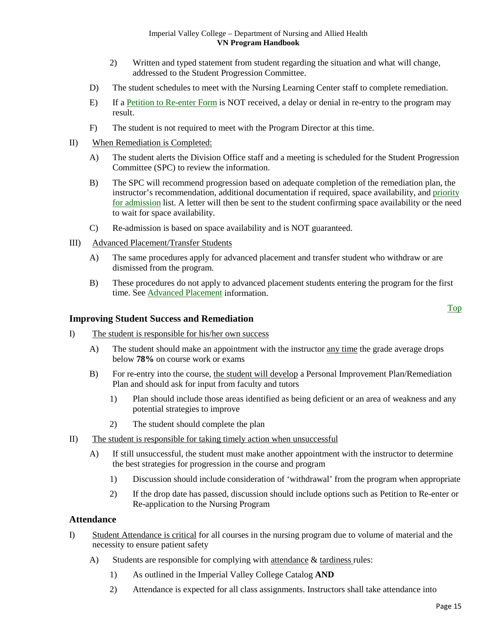- 2) Written and typed statement from student regarding the situation and what will change, addressed to the Student Progression Committee.
- D) The student schedules to meet with the Nursing Learning Center staff to complete remediation.
- E) If a Petition to Re-enter Form is NOT received, a delay or denial in re-entry to the program may result.
- F) The student is not required to meet with the Program Director at this time.
- II) When Remediation is Completed:
	- A) The student alerts the Division Office staff and a meeting is scheduled for the Student Progression Committee (SPC) to review the information.
	- B) The SPC will recommend progression based on adequate completion of the remediation plan, the instructor's recommendation, additional documentation if required, space availability, and priority [for admission](#page-6-1) list. A letter will then be sent to the student confirming space availability or the need to wait for space availability.
	- C) Re-admission is based on space availability and is NOT guaranteed.
- III) Advanced Placement/Transfer Students
	- A) The same procedures apply for advanced placement and transfer student who withdraw or are dismissed from the program.
	- B) These procedures do not apply to advanced placement students entering the program for the first time. See [Advanced Placement](#page-7-0) information.

# <span id="page-14-0"></span>**Improving Student Success and Remediation**

- I) The student is responsible for his/her own success
	- A) The student should make an appointment with the instructor any time the grade average drops below **78%** on course work or exams
	- B) For re-entry into the course, the student will develop a Personal Improvement Plan/Remediation Plan and should ask for input from faculty and tutors
		- 1) Plan should include those areas identified as being deficient or an area of weakness and any potential strategies to improve
		- 2) The student should complete the plan
- II) The student is responsible for taking timely action when unsuccessful
	- A) If still unsuccessful, the student must make another appointment with the instructor to determine the best strategies for progression in the course and program
		- 1) Discussion should include consideration of 'withdrawal' from the program when appropriate
		- 2) If the drop date has passed, discussion should include options such as Petition to Re-enter or Re-application to the Nursing Program

# <span id="page-14-1"></span>**Attendance**

- I) Student Attendance is critical for all courses in the nursing program due to volume of material and the necessity to ensure patient safety
	- A) Students are responsible for complying with attendance & tardiness rules:
		- 1) As outlined in the Imperial Valley College Catalog **AND**
		- 2) Attendance is expected for all class assignments. Instructors shall take attendance into

[Top](#page-0-0)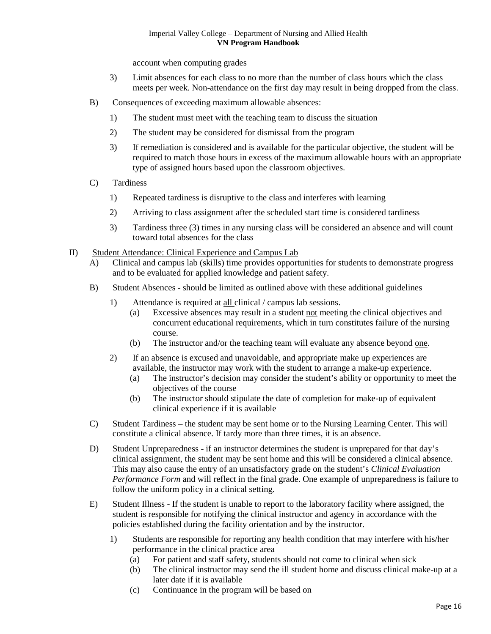account when computing grades

- 3) Limit absences for each class to no more than the number of class hours which the class meets per week. Non-attendance on the first day may result in being dropped from the class.
- B) Consequences of exceeding maximum allowable absences:
	- 1) The student must meet with the teaching team to discuss the situation
	- 2) The student may be considered for dismissal from the program
	- 3) If remediation is considered and is available for the particular objective, the student will be required to match those hours in excess of the maximum allowable hours with an appropriate type of assigned hours based upon the classroom objectives.
- C) Tardiness
	- 1) Repeated tardiness is disruptive to the class and interferes with learning
	- 2) Arriving to class assignment after the scheduled start time is considered tardiness
	- 3) Tardiness three (3) times in any nursing class will be considered an absence and will count toward total absences for the class
- II) Student Attendance: Clinical Experience and Campus Lab
	- A) Clinical and campus lab (skills) time provides opportunities for students to demonstrate progress and to be evaluated for applied knowledge and patient safety.
	- B) Student Absences should be limited as outlined above with these additional guidelines
		- 1) Attendance is required at all clinical / campus lab sessions.
			- (a) Excessive absences may result in a student not meeting the clinical objectives and concurrent educational requirements, which in turn constitutes failure of the nursing course.
			- (b) The instructor and/or the teaching team will evaluate any absence beyond one.
		- 2) If an absence is excused and unavoidable, and appropriate make up experiences are available, the instructor may work with the student to arrange a make-up experience.
			- (a) The instructor's decision may consider the student's ability or opportunity to meet the objectives of the course
			- (b) The instructor should stipulate the date of completion for make-up of equivalent clinical experience if it is available
	- C) Student Tardiness the student may be sent home or to the Nursing Learning Center. This will constitute a clinical absence. If tardy more than three times, it is an absence.
	- D) Student Unpreparedness if an instructor determines the student is unprepared for that day's clinical assignment, the student may be sent home and this will be considered a clinical absence. This may also cause the entry of an unsatisfactory grade on the student's *Clinical Evaluation Performance Form* and will reflect in the final grade. One example of unpreparedness is failure to follow the uniform policy in a clinical setting.
	- E) Student Illness If the student is unable to report to the laboratory facility where assigned, the student is responsible for notifying the clinical instructor and agency in accordance with the policies established during the facility orientation and by the instructor.
		- 1) Students are responsible for reporting any health condition that may interfere with his/her performance in the clinical practice area
			- (a) For patient and staff safety, students should not come to clinical when sick
			- (b) The clinical instructor may send the ill student home and discuss clinical make-up at a later date if it is available
			- (c) Continuance in the program will be based on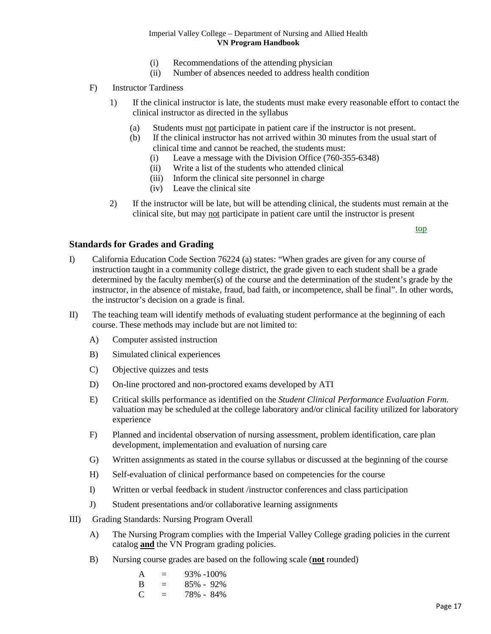- (i) Recommendations of the attending physician
- (ii) Number of absences needed to address health condition
- F) Instructor Tardiness
	- 1) If the clinical instructor is late, the students must make every reasonable effort to contact the clinical instructor as directed in the syllabus
		- (a) Students must not participate in patient care if the instructor is not present.
		- (b) If the clinical instructor has not arrived within 30 minutes from the usual start of clinical time and cannot be reached, the students must:
			- (i) Leave a message with the Division Office (760-355-6348)
			- (ii) Write a list of the students who attended clinical
			- (iii) Inform the clinical site personnel in charge
			- (iv) Leave the clinical site
	- 2) If the instructor will be late, but will be attending clinical, the students must remain at the clinical site, but may not participate in patient care until the instructor is present

<span id="page-16-0"></span>[top](#page-0-0)

# **Standards for Grades and Grading**

- I) California Education Code Section 76224 (a) states: "When grades are given for any course of instruction taught in a community college district, the grade given to each student shall be a grade determined by the faculty member(s) of the course and the determination of the student's grade by the instructor, in the absence of mistake, fraud, bad faith, or incompetence, shall be final". In other words, the instructor's decision on a grade is final.
- II) The teaching team will identify methods of evaluating student performance at the beginning of each course. These methods may include but are not limited to:
	- A) Computer assisted instruction
	- B) Simulated clinical experiences
	- C) Objective quizzes and tests
	- D) On-line proctored and non-proctored exams developed by ATI
	- E) Critical skills performance as identified on the *Student Clinical Performance Evaluation Form.*  valuation may be scheduled at the college laboratory and/or clinical facility utilized for laboratory experience
	- F) Planned and incidental observation of nursing assessment, problem identification, care plan development, implementation and evaluation of nursing care
	- G) Written assignments as stated in the course syllabus or discussed at the beginning of the course
	- H) Self-evaluation of clinical performance based on competencies for the course
	- I) Written or verbal feedback in student /instructor conferences and class participation
	- J) Student presentations and/or collaborative learning assignments
- III) Grading Standards: Nursing Program Overall
	- A) The Nursing Program complies with the Imperial Valley College grading policies in the current catalog **and** the VN Program grading policies.
	- B) Nursing course grades are based on the following scale (**not** rounded)

| A           | $=$ | 93% -100%     |
|-------------|-----|---------------|
| B           | $=$ | $85\% - 92\%$ |
| $\mathbf C$ | $=$ | 78% - 84%     |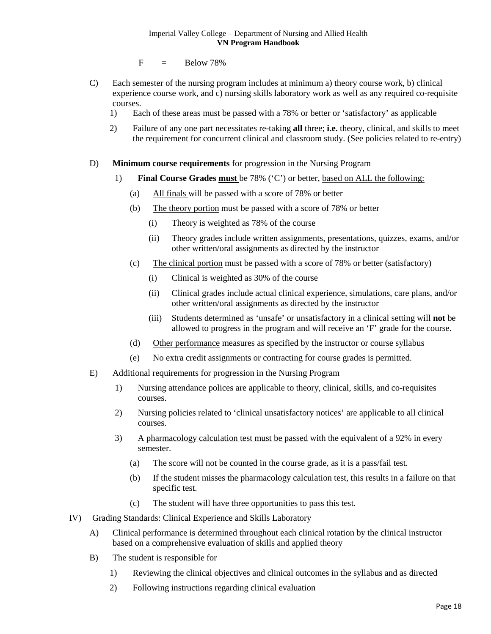$F = Below 78\%$ 

- C) Each semester of the nursing program includes at minimum a) theory course work, b) clinical experience course work, and c) nursing skills laboratory work as well as any required co-requisite courses.
	- 1) Each of these areas must be passed with a 78% or better or 'satisfactory' as applicable
	- 2) Failure of any one part necessitates re-taking **all** three; **i.e.** theory, clinical, and skills to meet the requirement for concurrent clinical and classroom study. (See policies related to re-entry)

# D) **Minimum course requirements** for progression in the Nursing Program

- 1) **Final Course Grades must** be 78% ('C') or better, based on ALL the following:
	- (a) All finals will be passed with a score of 78% or better
	- (b) The theory portion must be passed with a score of 78% or better
		- (i) Theory is weighted as 78% of the course
		- (ii) Theory grades include written assignments, presentations, quizzes, exams, and/or other written/oral assignments as directed by the instructor
	- (c) The clinical portion must be passed with a score of 78% or better (satisfactory)
		- (i) Clinical is weighted as 30% of the course
		- (ii) Clinical grades include actual clinical experience, simulations, care plans, and/or other written/oral assignments as directed by the instructor
		- (iii) Students determined as 'unsafe' or unsatisfactory in a clinical setting will **not** be allowed to progress in the program and will receive an 'F' grade for the course.
	- (d) Other performance measures as specified by the instructor or course syllabus
	- (e) No extra credit assignments or contracting for course grades is permitted.
- E) Additional requirements for progression in the Nursing Program
	- 1) Nursing attendance polices are applicable to theory, clinical, skills, and co-requisites courses.
	- 2) Nursing policies related to 'clinical unsatisfactory notices' are applicable to all clinical courses.
	- 3) A pharmacology calculation test must be passed with the equivalent of a 92% in every semester.
		- (a) The score will not be counted in the course grade, as it is a pass/fail test.
		- (b) If the student misses the pharmacology calculation test, this results in a failure on that specific test.
		- (c) The student will have three opportunities to pass this test.
- IV) Grading Standards: Clinical Experience and Skills Laboratory
	- A) Clinical performance is determined throughout each clinical rotation by the clinical instructor based on a comprehensive evaluation of skills and applied theory
	- B) The student is responsible for
		- 1) Reviewing the clinical objectives and clinical outcomes in the syllabus and as directed
		- 2) Following instructions regarding clinical evaluation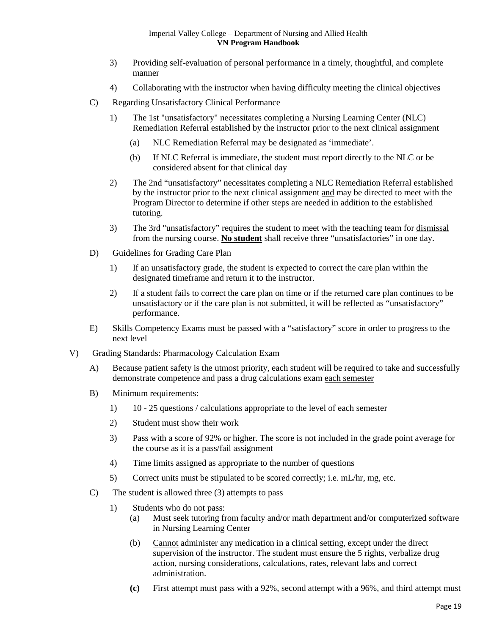- 3) Providing self-evaluation of personal performance in a timely, thoughtful, and complete manner
- 4) Collaborating with the instructor when having difficulty meeting the clinical objectives
- C) Regarding Unsatisfactory Clinical Performance
	- 1) The 1st "unsatisfactory" necessitates completing a Nursing Learning Center (NLC) Remediation Referral established by the instructor prior to the next clinical assignment
		- (a) NLC Remediation Referral may be designated as 'immediate'.
		- (b) If NLC Referral is immediate, the student must report directly to the NLC or be considered absent for that clinical day
	- 2) The 2nd "unsatisfactory" necessitates completing a NLC Remediation Referral established by the instructor prior to the next clinical assignment and may be directed to meet with the Program Director to determine if other steps are needed in addition to the established tutoring.
	- 3) The 3rd "unsatisfactory" requires the student to meet with the teaching team for dismissal from the nursing course. **No student** shall receive three "unsatisfactories" in one day.
- D) Guidelines for Grading Care Plan
	- 1) If an unsatisfactory grade, the student is expected to correct the care plan within the designated timeframe and return it to the instructor.
	- 2) If a student fails to correct the care plan on time or if the returned care plan continues to be unsatisfactory or if the care plan is not submitted, it will be reflected as "unsatisfactory" performance.
- E) Skills Competency Exams must be passed with a "satisfactory" score in order to progress to the next level
- V) Grading Standards: Pharmacology Calculation Exam
	- A) Because patient safety is the utmost priority, each student will be required to take and successfully demonstrate competence and pass a drug calculations exam each semester
	- B) Minimum requirements:
		- 1) 10 25 questions / calculations appropriate to the level of each semester
		- 2) Student must show their work
		- 3) Pass with a score of 92% or higher. The score is not included in the grade point average for the course as it is a pass/fail assignment
		- 4) Time limits assigned as appropriate to the number of questions
		- 5) Correct units must be stipulated to be scored correctly; i.e. mL/hr, mg, etc.
	- C) The student is allowed three (3) attempts to pass
		- 1) Students who do not pass:
			- (a) Must seek tutoring from faculty and/or math department and/or computerized software in Nursing Learning Center
			- (b) Cannot administer any medication in a clinical setting, except under the direct supervision of the instructor. The student must ensure the 5 rights, verbalize drug action, nursing considerations, calculations, rates, relevant labs and correct administration.
			- **(c)** First attempt must pass with a 92%, second attempt with a 96%, and third attempt must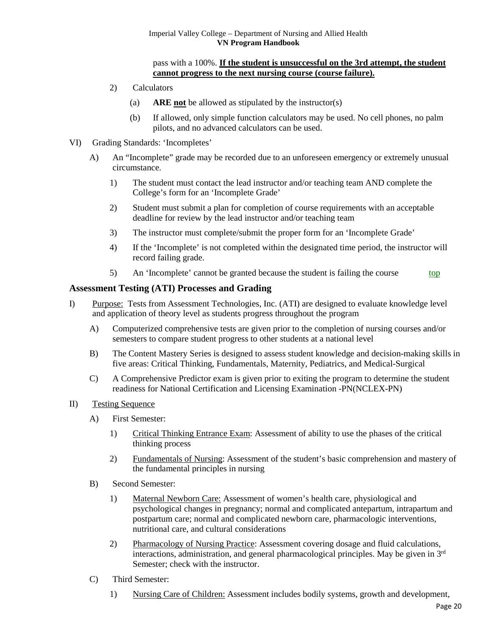#### pass with a 100%. **If the student is unsuccessful on the 3rd attempt, the student cannot progress to the next nursing course (course failure).**

- 2) Calculators
	- (a) **ARE not** be allowed as stipulated by the instructor(s)
	- (b) If allowed, only simple function calculators may be used. No cell phones, no palm pilots, and no advanced calculators can be used.
- VI) Grading Standards: 'Incompletes'
	- A) An "Incomplete" grade may be recorded due to an unforeseen emergency or extremely unusual circumstance.
		- 1) The student must contact the lead instructor and/or teaching team AND complete the College's form for an 'Incomplete Grade'
		- 2) Student must submit a plan for completion of course requirements with an acceptable deadline for review by the lead instructor and/or teaching team
		- 3) The instructor must complete/submit the proper form for an 'Incomplete Grade'
		- 4) If the 'Incomplete' is not completed within the designated time period, the instructor will record failing grade.
		- 5) An 'Incomplete' cannot be granted because the student is failing the course top

# <span id="page-19-0"></span>**Assessment Testing (ATI) Processes and Grading**

- I) Purpose: Tests from Assessment Technologies, Inc. (ATI) are designed to evaluate knowledge level and application of theory level as students progress throughout the program
	- A) Computerized comprehensive tests are given prior to the completion of nursing courses and/or semesters to compare student progress to other students at a national level
	- B) The Content Mastery Series is designed to assess student knowledge and decision-making skills in five areas: Critical Thinking, Fundamentals, Maternity, Pediatrics, and Medical-Surgical
	- C) A Comprehensive Predictor exam is given prior to exiting the program to determine the student readiness for National Certification and Licensing Examination -PN(NCLEX-PN)
- II) Testing Sequence
	- A) First Semester:
		- 1) Critical Thinking Entrance Exam: Assessment of ability to use the phases of the critical thinking process
		- 2) Fundamentals of Nursing: Assessment of the student's basic comprehension and mastery of the fundamental principles in nursing
	- B) Second Semester:
		- 1) Maternal Newborn Care: Assessment of women's health care, physiological and psychological changes in pregnancy; normal and complicated antepartum, intrapartum and postpartum care; normal and complicated newborn care, pharmacologic interventions, nutritional care, and cultural considerations
		- 2) Pharmacology of Nursing Practice: Assessment covering dosage and fluid calculations, interactions, administration, and general pharmacological principles. May be given in 3rd Semester; check with the instructor.
	- C) Third Semester:
		- 1) Nursing Care of Children: Assessment includes bodily systems, growth and development,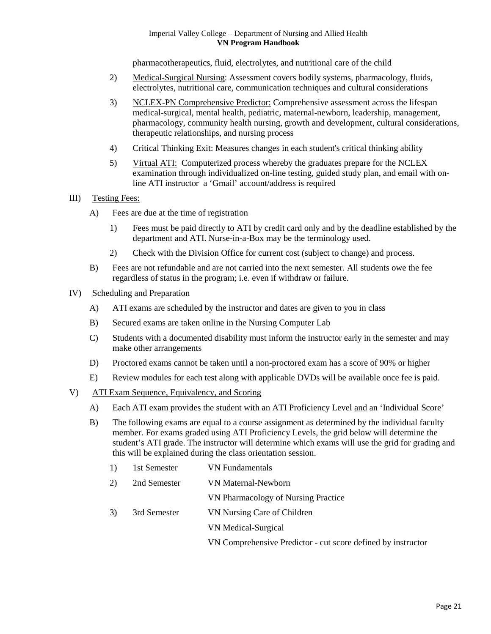pharmacotherapeutics, fluid, electrolytes, and nutritional care of the child

- 2) Medical-Surgical Nursing: Assessment covers bodily systems, pharmacology, fluids, electrolytes, nutritional care, communication techniques and cultural considerations
- 3) NCLEX-PN Comprehensive Predictor: Comprehensive assessment across the lifespan medical-surgical, mental health, pediatric, maternal-newborn, leadership, management, pharmacology, community health nursing, growth and development, cultural considerations, therapeutic relationships, and nursing process
- 4) Critical Thinking Exit: Measures changes in each student's critical thinking ability
- 5) Virtual ATI: Computerized process whereby the graduates prepare for the NCLEX examination through individualized on-line testing, guided study plan, and email with online ATI instructor a 'Gmail' account/address is required
- III) Testing Fees:
	- A) Fees are due at the time of registration
		- 1) Fees must be paid directly to ATI by credit card only and by the deadline established by the department and ATI. Nurse-in-a-Box may be the terminology used.
		- 2) Check with the Division Office for current cost (subject to change) and process.
	- B) Fees are not refundable and are not carried into the next semester. All students owe the fee regardless of status in the program; i.e. even if withdraw or failure.
- IV) Scheduling and Preparation
	- A) ATI exams are scheduled by the instructor and dates are given to you in class
	- B) Secured exams are taken online in the Nursing Computer Lab
	- C) Students with a documented disability must inform the instructor early in the semester and may make other arrangements
	- D) Proctored exams cannot be taken until a non-proctored exam has a score of 90% or higher
	- E) Review modules for each test along with applicable DVDs will be available once fee is paid.
- V) ATI Exam Sequence, Equivalency, and Scoring
	- A) Each ATI exam provides the student with an ATI Proficiency Level and an 'Individual Score'
	- B) The following exams are equal to a course assignment as determined by the individual faculty member. For exams graded using ATI Proficiency Levels, the grid below will determine the student's ATI grade. The instructor will determine which exams will use the grid for grading and this will be explained during the class orientation session.

| <sup>1</sup> | 1st Semester | <b>VN</b> Fundamentals                                       |
|--------------|--------------|--------------------------------------------------------------|
| 2)           | 2nd Semester | <b>VN Maternal-Newborn</b>                                   |
|              |              | VN Pharmacology of Nursing Practice                          |
| 3)           | 3rd Semester | VN Nursing Care of Children                                  |
|              |              | VN Medical-Surgical                                          |
|              |              | VN Comprehensive Predictor - cut score defined by instructor |
|              |              |                                                              |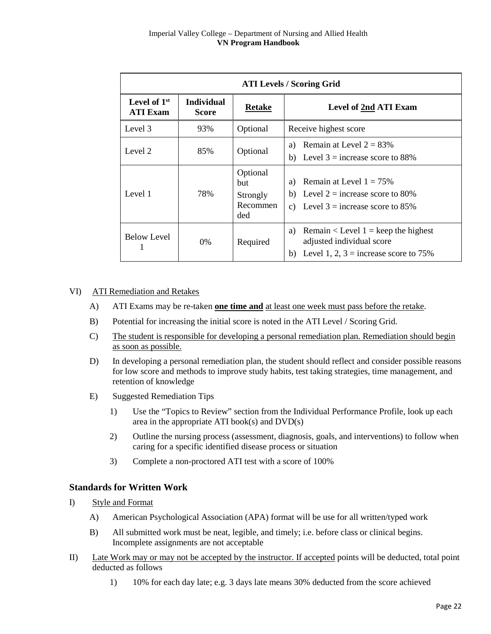| <b>ATI Levels / Scoring Grid</b>  |                                   |                                                       |                                                                                                                             |  |  |
|-----------------------------------|-----------------------------------|-------------------------------------------------------|-----------------------------------------------------------------------------------------------------------------------------|--|--|
| Level of $1st$<br><b>ATI Exam</b> | <b>Individual</b><br><b>Score</b> | <b>Retake</b>                                         | <b>Level of 2nd ATI Exam</b>                                                                                                |  |  |
| Level 3                           | 93%                               | Optional                                              | Receive highest score                                                                                                       |  |  |
| Level 2                           | 85%                               | Optional                                              | Remain at Level $2 = 83\%$<br>a)<br>b) Level $3 =$ increase score to 88%                                                    |  |  |
| Level 1                           | 78%                               | Optional<br><b>but</b><br>Strongly<br>Recommen<br>ded | Remain at Level $1 = 75\%$<br>a)<br>b) Level $2 =$ increase score to 80%<br>c) Level $3 =$ increase score to 85%            |  |  |
| <b>Below Level</b>                | $0\%$                             | Required                                              | Remain $\le$ Level 1 = keep the highest<br>a)<br>adjusted individual score<br>Level 1, 2, $3 =$ increase score to 75%<br>b) |  |  |

# VI) ATI Remediation and Retakes

- A) ATI Exams may be re-taken **one time and** at least one week must pass before the retake.
- B) Potential for increasing the initial score is noted in the ATI Level / Scoring Grid.
- C) The student is responsible for developing a personal remediation plan. Remediation should begin as soon as possible.
- D) In developing a personal remediation plan, the student should reflect and consider possible reasons for low score and methods to improve study habits, test taking strategies, time management, and retention of knowledge
- E) Suggested Remediation Tips
	- 1) Use the "Topics to Review" section from the Individual Performance Profile, look up each area in the appropriate ATI book(s) and DVD(s)
	- 2) Outline the nursing process (assessment, diagnosis, goals, and interventions) to follow when caring for a specific identified disease process or situation
	- 3) Complete a non-proctored ATI test with a score of 100%

# <span id="page-21-0"></span>**Standards for Written Work**

- I) Style and Format
	- A) American Psychological Association (APA) format will be use for all written/typed work
	- B) All submitted work must be neat, legible, and timely; i.e. before class or clinical begins. Incomplete assignments are not acceptable
- II) Late Work may or may not be accepted by the instructor. If accepted points will be deducted, total point deducted as follows
	- 1) 10% for each day late; e.g. 3 days late means 30% deducted from the score achieved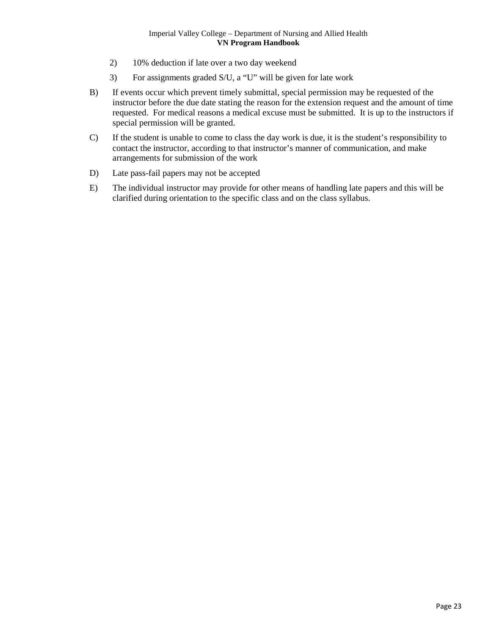- 2) 10% deduction if late over a two day weekend
- 3) For assignments graded S/U, a "U" will be given for late work
- B) If events occur which prevent timely submittal, special permission may be requested of the instructor before the due date stating the reason for the extension request and the amount of time requested. For medical reasons a medical excuse must be submitted. It is up to the instructors if special permission will be granted.
- C) If the student is unable to come to class the day work is due, it is the student's responsibility to contact the instructor, according to that instructor's manner of communication, and make arrangements for submission of the work
- D) Late pass-fail papers may not be accepted
- E) The individual instructor may provide for other means of handling late papers and this will be clarified during orientation to the specific class and on the class syllabus.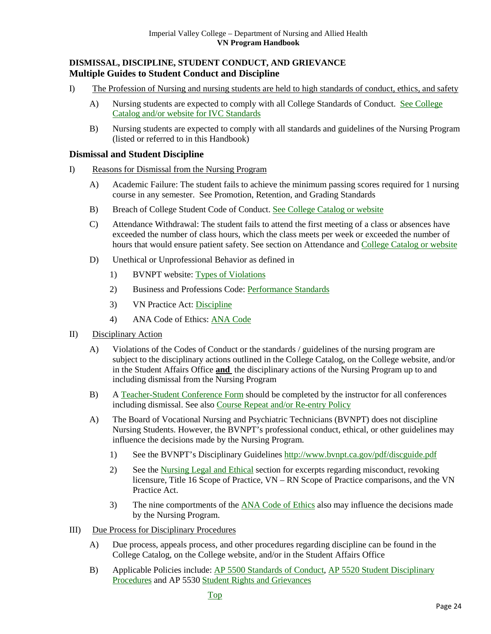# <span id="page-23-0"></span>**DISMISSAL, DISCIPLINE, STUDENT CONDUCT, AND GRIEVANCE Multiple Guides to Student Conduct and Discipline**

- I) The Profession of Nursing and nursing students are held to high standards of conduct, ethics, and safety
	- A) Nursing students are expected to comply with all College Standards of Conduct. [See College](http://www.imperial.edu/index.php?pid=4273)  [Catalog and/or website for IVC Standards](http://www.imperial.edu/index.php?pid=4273)
	- B) Nursing students are expected to comply with all standards and guidelines of the Nursing Program (listed or referred to in this Handbook)

# <span id="page-23-1"></span>**Dismissal and Student Discipline**

- I) Reasons for Dismissal from the Nursing Program
	- A) Academic Failure: The student fails to achieve the minimum passing scores required for 1 nursing course in any semester. See Promotion, Retention, and Grading Standards
	- B) Breach of College Student Code of Conduct. [See College Catalog or website](http://www.imperial.edu/index.php?pid=4273)
	- C) Attendance Withdrawal: The student fails to attend the first meeting of a class or absences have exceeded the number of class hours, which the class meets per week or exceeded the number of hours that would ensure patient safety. See section on Attendance and [College Catalog or website](http://www.imperial.edu/index.php?pid=4273)
	- D) Unethical or Unprofessional Behavior as defined in
		- 1) BVNPT website: [Types of Violations](#page-37-2)
		- 2) Business and Professions Code: [Performance Standards](#page-38-1)
		- 3) VN Practice Act: [Discipline](#page-41-0)
		- 4) ANA Code of Ethics: [ANA Code](#page-42-0)
- II) Disciplinary Action
	- A) Violations of the Codes of Conduct or the standards / guidelines of the nursing program are subject to the disciplinary actions outlined in the College Catalog, on the College website, and/or in the Student Affairs Office **and** the disciplinary actions of the Nursing Program up to and including dismissal from the Nursing Program
	- B) A Teacher-Student Conference Form should be completed by the instructor for all conferences including dismissal. See also [Course Repeat and/or Re-entry Policy](#page-10-1)
	- A) The Board of Vocational Nursing and Psychiatric Technicians (BVNPT) does not discipline Nursing Students. However, the BVNPT's professional conduct, ethical, or other guidelines may influence the decisions made by the Nursing Program.
		- 1) See the BVNPT's Disciplinary Guideline[s http://www.bvnpt.ca.gov/pdf/discguide.pdf](http://www.bvnpt.ca.gov/pdf/discguide.pdf)
		- 2) See the [Nursing Legal and Ethical](#page-37-3) section for excerpts regarding misconduct, revoking licensure, Title 16 Scope of Practice, VN – RN Scope of Practice comparisons, and the VN Practice Act.
		- 3) The nine comportments of the [ANA Code of Ethics](#page-42-0) also may influence the decisions made by the Nursing Program.
- III) Due Process for Disciplinary Procedures
	- A) Due process, appeals process, and other procedures regarding discipline can be found in the College Catalog, on the College website, and/or in the Student Affairs Office
	- B) Applicable Policies include: [AP 5500 Standards of Conduct,](http://www.imperial.edu/admin/Media/File_Upload/165-Files/AP%205500%20Standards%20of%20Conduct.pdf) [AP 5520 Student Disciplinary](http://www.imperial.edu/admin/Media/File_Upload/165-Files/AP%205520%20Student%20Discipline%20Procedures.pdf)  [Procedures](http://www.imperial.edu/admin/Media/File_Upload/165-Files/AP%205520%20Student%20Discipline%20Procedures.pdf) and AP 5530 [Student Rights and Grievances](http://www.imperial.edu/admin/Media/File_Upload/165-Files/AP%205530%20Student%20RIghts%20and%20Grievances.pdf)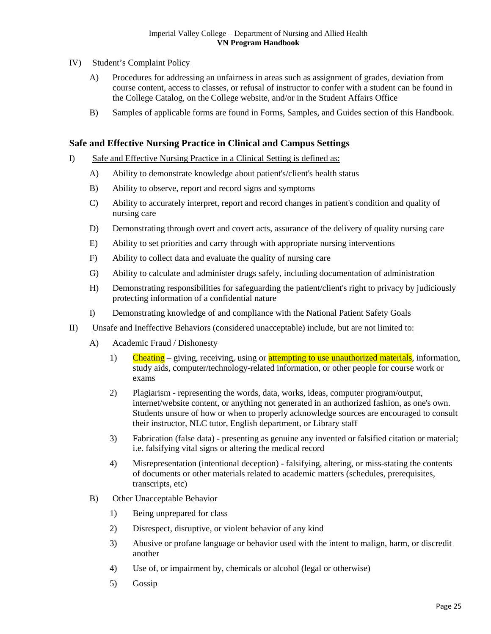# IV) Student's Complaint Policy

- A) Procedures for addressing an unfairness in areas such as assignment of grades, deviation from course content, access to classes, or refusal of instructor to confer with a student can be found in the College Catalog, on the College website, and/or in the Student Affairs Office
- B) Samples of applicable forms are found in Forms, Samples, and Guides section of this Handbook.

# <span id="page-24-0"></span>**Safe and Effective Nursing Practice in Clinical and Campus Settings**

- I) Safe and Effective Nursing Practice in a Clinical Setting is defined as:
	- A) Ability to demonstrate knowledge about patient's/client's health status
	- B) Ability to observe, report and record signs and symptoms
	- C) Ability to accurately interpret, report and record changes in patient's condition and quality of nursing care
	- D) Demonstrating through overt and covert acts, assurance of the delivery of quality nursing care
	- E) Ability to set priorities and carry through with appropriate nursing interventions
	- F) Ability to collect data and evaluate the quality of nursing care
	- G) Ability to calculate and administer drugs safely, including documentation of administration
	- H) Demonstrating responsibilities for safeguarding the patient/client's right to privacy by judiciously protecting information of a confidential nature
	- I) Demonstrating knowledge of and compliance with the National Patient Safety Goals
- II) Unsafe and Ineffective Behaviors (considered unacceptable) include, but are not limited to:
	- A) Academic Fraud / Dishonesty
		- 1) Cheating giving, receiving, using or attempting to use unauthorized materials, information, study aids, computer/technology-related information, or other people for course work or exams
		- 2) Plagiarism representing the words, data, works, ideas, computer program/output, internet/website content, or anything not generated in an authorized fashion, as one's own. Students unsure of how or when to properly acknowledge sources are encouraged to consult their instructor, NLC tutor, English department, or Library staff
		- 3) Fabrication (false data) presenting as genuine any invented or falsified citation or material; i.e. falsifying vital signs or altering the medical record
		- 4) Misrepresentation (intentional deception) falsifying, altering, or miss-stating the contents of documents or other materials related to academic matters (schedules, prerequisites, transcripts, etc)
	- B) Other Unacceptable Behavior
		- 1) Being unprepared for class
		- 2) Disrespect, disruptive, or violent behavior of any kind
		- 3) Abusive or profane language or behavior used with the intent to malign, harm, or discredit another
		- 4) Use of, or impairment by, chemicals or alcohol (legal or otherwise)
		- 5) Gossip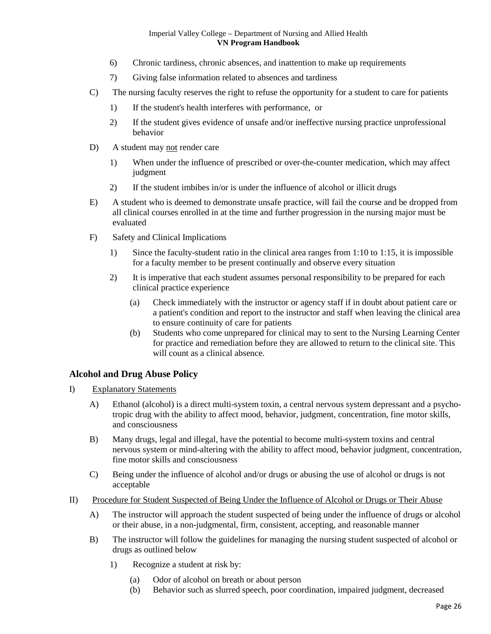- 6) Chronic tardiness, chronic absences, and inattention to make up requirements
- 7) Giving false information related to absences and tardiness
- C) The nursing faculty reserves the right to refuse the opportunity for a student to care for patients
	- 1) If the student's health interferes with performance, or
	- 2) If the student gives evidence of unsafe and/or ineffective nursing practice unprofessional behavior
- D) A student may not render care
	- 1) When under the influence of prescribed or over-the-counter medication, which may affect judgment
	- 2) If the student imbibes in/or is under the influence of alcohol or illicit drugs
- E) A student who is deemed to demonstrate unsafe practice, will fail the course and be dropped from all clinical courses enrolled in at the time and further progression in the nursing major must be evaluated
- F) Safety and Clinical Implications
	- 1) Since the faculty-student ratio in the clinical area ranges from 1:10 to 1:15, it is impossible for a faculty member to be present continually and observe every situation
	- 2) It is imperative that each student assumes personal responsibility to be prepared for each clinical practice experience
		- (a) Check immediately with the instructor or agency staff if in doubt about patient care or a patient's condition and report to the instructor and staff when leaving the clinical area to ensure continuity of care for patients
		- (b) Students who come unprepared for clinical may to sent to the Nursing Learning Center for practice and remediation before they are allowed to return to the clinical site. This will count as a clinical absence.

# <span id="page-25-0"></span>**Alcohol and Drug Abuse Policy**

- I) Explanatory Statements
	- A) Ethanol (alcohol) is a direct multi-system toxin, a central nervous system depressant and a psychotropic drug with the ability to affect mood, behavior, judgment, concentration, fine motor skills, and consciousness
	- B) Many drugs, legal and illegal, have the potential to become multi-system toxins and central nervous system or mind-altering with the ability to affect mood, behavior judgment, concentration, fine motor skills and consciousness
	- C) Being under the influence of alcohol and/or drugs or abusing the use of alcohol or drugs is not acceptable
- II) Procedure for Student Suspected of Being Under the Influence of Alcohol or Drugs or Their Abuse
	- A) The instructor will approach the student suspected of being under the influence of drugs or alcohol or their abuse, in a non-judgmental, firm, consistent, accepting, and reasonable manner
	- B) The instructor will follow the guidelines for managing the nursing student suspected of alcohol or drugs as outlined below
		- 1) Recognize a student at risk by:
			- (a) Odor of alcohol on breath or about person
			- (b) Behavior such as slurred speech, poor coordination, impaired judgment, decreased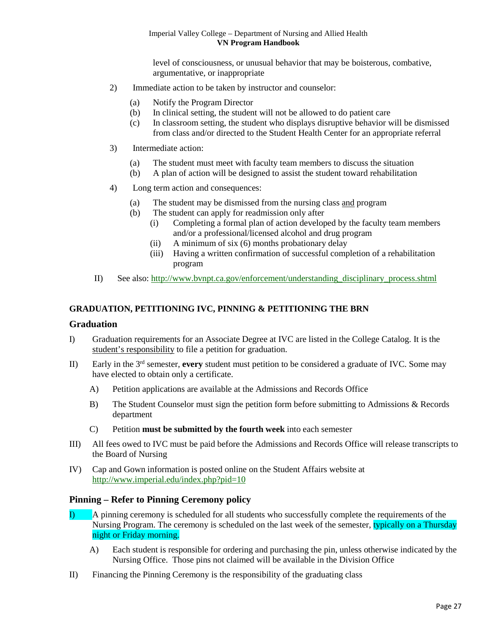level of consciousness, or unusual behavior that may be boisterous, combative, argumentative, or inappropriate

- 2) Immediate action to be taken by instructor and counselor:
	- (a) Notify the Program Director
	- (b) In clinical setting, the student will not be allowed to do patient care
	- (c) In classroom setting, the student who displays disruptive behavior will be dismissed from class and/or directed to the Student Health Center for an appropriate referral
- 3) Intermediate action:
	- (a) The student must meet with faculty team members to discuss the situation
	- (b) A plan of action will be designed to assist the student toward rehabilitation
- 4) Long term action and consequences:
	- (a) The student may be dismissed from the nursing class and program
	- (b) The student can apply for readmission only after
		- (i) Completing a formal plan of action developed by the faculty team members and/or a professional/licensed alcohol and drug program
		- (ii) A minimum of six (6) months probationary delay
		- (iii) Having a written confirmation of successful completion of a rehabilitation program
- II) See also: [http://www.bvnpt.ca.gov/enforcement/understanding\\_disciplinary\\_process.shtml](http://www.bvnpt.ca.gov/enforcement/understanding_disciplinary_process.shtml)

# **GRADUATION, PETITIONING IVC, PINNING & PETITIONING THE BRN**

# <span id="page-26-0"></span>**Graduation**

- I) Graduation requirements for an Associate Degree at IVC are listed in the College Catalog. It is the student's responsibility to file a petition for graduation.
- II) Early in the 3rd semester, **every** student must petition to be considered a graduate of IVC. Some may have elected to obtain only a certificate.
	- A) Petition applications are available at the Admissions and Records Office
	- B) The Student Counselor must sign the petition form before submitting to Admissions & Records department
	- C) Petition **must be submitted by the fourth week** into each semester
- III) All fees owed to IVC must be paid before the Admissions and Records Office will release transcripts to the Board of Nursing
- IV) Cap and Gown information is posted online on the Student Affairs website at <http://www.imperial.edu/index.php?pid=10>

# <span id="page-26-1"></span>**Pinning – Refer to Pinning Ceremony policy**

- I) A pinning ceremony is scheduled for all students who successfully complete the requirements of the Nursing Program. The ceremony is scheduled on the last week of the semester, typically on a Thursday night or Friday morning.
	- A) Each student is responsible for ordering and purchasing the pin, unless otherwise indicated by the Nursing Office. Those pins not claimed will be available in the Division Office
- II) Financing the Pinning Ceremony is the responsibility of the graduating class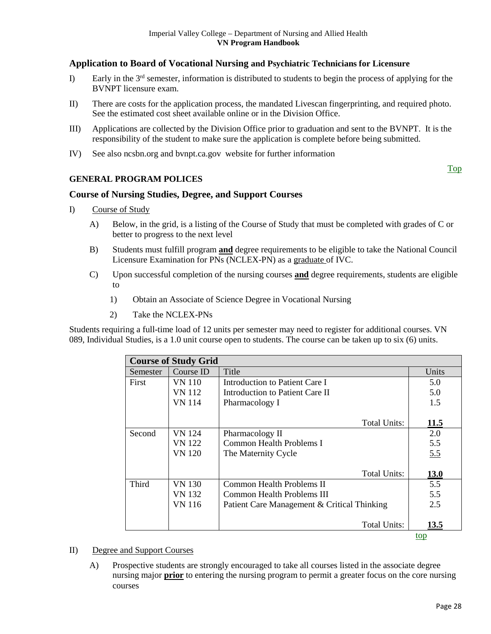# <span id="page-27-0"></span>**Application to Board of Vocational Nursing and Psychiatric Technicians for Licensure**

- I) Early in the 3rd semester, information is distributed to students to begin the process of applying for the BVNPT licensure exam.
- II) There are costs for the application process, the mandated Livescan fingerprinting, and required photo. See the estimated cost sheet available online or in the Division Office.
- III) Applications are collected by the Division Office prior to graduation and sent to the BVNPT. It is the responsibility of the student to make sure the application is complete before being submitted.
- IV) See also ncsbn.org and bvnpt.ca.gov website for further information

# **GENERAL PROGRAM POLICES**

# <span id="page-27-1"></span>**Course of Nursing Studies, Degree, and Support Courses**

- I) Course of Study
	- A) Below, in the grid, is a listing of the Course of Study that must be completed with grades of C or better to progress to the next level
	- B) Students must fulfill program **and** degree requirements to be eligible to take the National Council Licensure Examination for PNs (NCLEX-PN) as a graduate of IVC.
	- C) Upon successful completion of the nursing courses **and** degree requirements, students are eligible to
		- 1) Obtain an Associate of Science Degree in Vocational Nursing
		- 2) Take the NCLEX-PNs

Students requiring a full-time load of 12 units per semester may need to register for additional courses. VN 089, Individual Studies, is a 1.0 unit course open to students. The course can be taken up to six (6) units.

|          | <b>Course of Study Grid</b> |                                             |             |  |  |
|----------|-----------------------------|---------------------------------------------|-------------|--|--|
| Semester | Course ID                   | Title                                       | Units       |  |  |
| First    | VN 110                      | Introduction to Patient Care I              | 5.0         |  |  |
|          | VN 112                      | Introduction to Patient Care II             | 5.0         |  |  |
|          | VN 114                      | Pharmacology I                              | 1.5         |  |  |
|          |                             | Total Units:                                | 11.5        |  |  |
| Second   | <b>VN</b> 124               | Pharmacology II                             | 2.0         |  |  |
|          | VN 122                      | Common Health Problems I                    | 5.5         |  |  |
|          | VN 120                      | The Maternity Cycle                         | 5.5         |  |  |
|          |                             | Total Units:                                | <b>13.0</b> |  |  |
| Third    | VN 130                      | Common Health Problems II                   | 5.5         |  |  |
|          | VN 132                      | Common Health Problems III                  | 5.5         |  |  |
|          | <b>VN</b> 116               | Patient Care Management & Critical Thinking | 2.5         |  |  |
|          |                             | Total Units:                                | 13.5        |  |  |
|          |                             |                                             | top         |  |  |

II) Degree and Support Courses

A) Prospective students are strongly encouraged to take all courses listed in the associate degree nursing major **prior** to entering the nursing program to permit a greater focus on the core nursing courses

[Top](#page-0-0)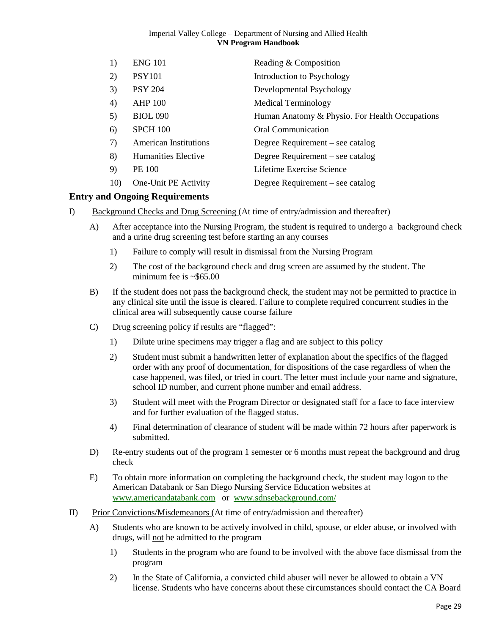| 1)  | <b>ENG 101</b>               | Reading & Composition                          |
|-----|------------------------------|------------------------------------------------|
| 2)  | <b>PSY101</b>                | Introduction to Psychology                     |
| 3)  | <b>PSY 204</b>               | Developmental Psychology                       |
| 4)  | <b>AHP 100</b>               | <b>Medical Terminology</b>                     |
| 5)  | <b>BIOL 090</b>              | Human Anatomy & Physio. For Health Occupations |
| 6)  | <b>SPCH 100</b>              | Oral Communication                             |
| 7)  | <b>American Institutions</b> | Degree Requirement – see catalog               |
| 8)  | Humanities Elective          | Degree Requirement – see catalog               |
| 9)  | <b>PE 100</b>                | Lifetime Exercise Science                      |
| 10) | One-Unit PE Activity         | Degree Requirement – see catalog               |

# <span id="page-28-0"></span>**Entry and Ongoing Requirements**

- I) Background Checks and Drug Screening (At time of entry/admission and thereafter)
	- A) After acceptance into the Nursing Program, the student is required to undergo a background check and a urine drug screening test before starting an any courses
		- 1) Failure to comply will result in dismissal from the Nursing Program
		- 2) The cost of the background check and drug screen are assumed by the student. The minimum fee is  $\sim$ \$65.00
	- B) If the student does not pass the background check, the student may not be permitted to practice in any clinical site until the issue is cleared. Failure to complete required concurrent studies in the clinical area will subsequently cause course failure
	- C) Drug screening policy if results are "flagged":
		- 1) Dilute urine specimens may trigger a flag and are subject to this policy
		- 2) Student must submit a handwritten letter of explanation about the specifics of the flagged order with any proof of documentation, for dispositions of the case regardless of when the case happened, was filed, or tried in court. The letter must include your name and signature, school ID number, and current phone number and email address.
		- 3) Student will meet with the Program Director or designated staff for a face to face interview and for further evaluation of the flagged status.
		- 4) Final determination of clearance of student will be made within 72 hours after paperwork is submitted.
	- D) Re-entry students out of the program 1 semester or 6 months must repeat the background and drug check
	- E) To obtain more information on completing the background check, the student may logon to the American Databank or San Diego Nursing Service Education websites at [www.americandatabank.com](http://www.americandatabank.com/) or [www.sdnsebackground.com/](http://www.sdnsebackground.com/)
- <span id="page-28-1"></span>II) Prior Convictions/Misdemeanors (At time of entry/admission and thereafter)
	- A) Students who are known to be actively involved in child, spouse, or elder abuse, or involved with drugs, will not be admitted to the program
		- 1) Students in the program who are found to be involved with the above face dismissal from the program
		- 2) In the State of California, a convicted child abuser will never be allowed to obtain a VN license. Students who have concerns about these circumstances should contact the CA Board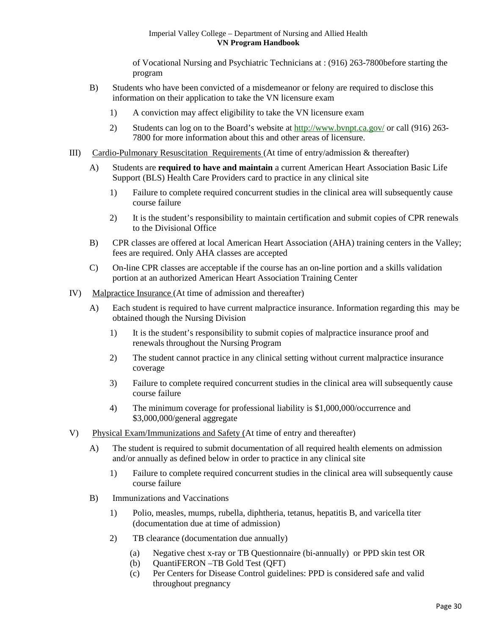of Vocational Nursing and Psychiatric Technicians at : (916) 263-7800before starting the program

- B) Students who have been convicted of a misdemeanor or felony are required to disclose this information on their application to take the VN licensure exam
	- 1) A conviction may affect eligibility to take the VN licensure exam
	- 2) Students can log on to the Board's website at<http://www.bvnpt.ca.gov/> or call (916) 263-7800 for more information about this and other areas of licensure.
- <span id="page-29-0"></span>III) Cardio-Pulmonary Resuscitation Requirements (At time of entry/admission & thereafter)
	- A) Students are **required to have and maintain** a current American Heart Association Basic Life Support (BLS) Health Care Providers card to practice in any clinical site
		- 1) Failure to complete required concurrent studies in the clinical area will subsequently cause course failure
		- 2) It is the student's responsibility to maintain certification and submit copies of CPR renewals to the Divisional Office
	- B) CPR classes are offered at local American Heart Association (AHA) training centers in the Valley; fees are required. Only AHA classes are accepted
	- C) On-line CPR classes are acceptable if the course has an on-line portion and a skills validation portion at an authorized American Heart Association Training Center
- <span id="page-29-1"></span>IV) Malpractice Insurance (At time of admission and thereafter)
	- A) Each student is required to have current malpractice insurance. Information regarding this may be obtained though the Nursing Division
		- 1) It is the student's responsibility to submit copies of malpractice insurance proof and renewals throughout the Nursing Program
		- 2) The student cannot practice in any clinical setting without current malpractice insurance coverage
		- 3) Failure to complete required concurrent studies in the clinical area will subsequently cause course failure
		- 4) The minimum coverage for professional liability is \$1,000,000/occurrence and \$3,000,000/general aggregate
- <span id="page-29-2"></span>V) Physical Exam/Immunizations and Safety (At time of entry and thereafter)
	- A) The student is required to submit documentation of all required health elements on admission and/or annually as defined below in order to practice in any clinical site
		- 1) Failure to complete required concurrent studies in the clinical area will subsequently cause course failure
	- B) Immunizations and Vaccinations
		- 1) Polio, measles, mumps, rubella, diphtheria, tetanus, hepatitis B, and varicella titer (documentation due at time of admission)
		- 2) TB clearance (documentation due annually)
			- (a) Negative chest x-ray or TB Questionnaire (bi-annually) or PPD skin test OR
			- (b) QuantiFERON –TB Gold Test (QFT)
			- (c) Per Centers for Disease Control guidelines: PPD is considered safe and valid throughout pregnancy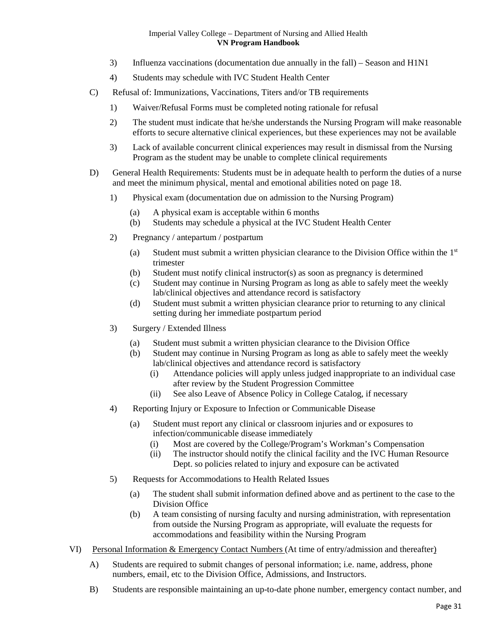- 3) Influenza vaccinations (documentation due annually in the fall) Season and H1N1
- 4) Students may schedule with IVC Student Health Center
- C) Refusal of: Immunizations, Vaccinations, Titers and/or TB requirements
	- 1) Waiver/Refusal Forms must be completed noting rationale for refusal
	- 2) The student must indicate that he/she understands the Nursing Program will make reasonable efforts to secure alternative clinical experiences, but these experiences may not be available
	- 3) Lack of available concurrent clinical experiences may result in dismissal from the Nursing Program as the student may be unable to complete clinical requirements
- <span id="page-30-1"></span>D) General Health Requirements: Students must be in adequate health to perform the duties of a nurse and meet the minimum physical, mental and emotional abilities noted on page 18.
	- 1) Physical exam (documentation due on admission to the Nursing Program)
		- (a) A physical exam is acceptable within 6 months
		- (b) Students may schedule a physical at the IVC Student Health Center
	- 2) Pregnancy / antepartum / postpartum
		- (a) Student must submit a written physician clearance to the Division Office within the  $1<sup>st</sup>$ trimester
		- (b) Student must notify clinical instructor(s) as soon as pregnancy is determined
		- (c) Student may continue in Nursing Program as long as able to safely meet the weekly lab/clinical objectives and attendance record is satisfactory
		- (d) Student must submit a written physician clearance prior to returning to any clinical setting during her immediate postpartum period
	- 3) Surgery / Extended Illness
		- (a) Student must submit a written physician clearance to the Division Office
		- (b) Student may continue in Nursing Program as long as able to safely meet the weekly lab/clinical objectives and attendance record is satisfactory
			- (i) Attendance policies will apply unless judged inappropriate to an individual case after review by the Student Progression Committee
			- (ii) See also Leave of Absence Policy in College Catalog, if necessary
	- 4) Reporting Injury or Exposure to Infection or Communicable Disease
		- (a) Student must report any clinical or classroom injuries and or exposures to infection/communicable disease immediately
			- (i) Most are covered by the College/Program's Workman's Compensation
			- (ii) The instructor should notify the clinical facility and the IVC Human Resource Dept. so policies related to injury and exposure can be activated
	- 5) Requests for Accommodations to Health Related Issues
		- (a) The student shall submit information defined above and as pertinent to the case to the Division Office
		- (b) A team consisting of nursing faculty and nursing administration, with representation from outside the Nursing Program as appropriate, will evaluate the requests for accommodations and feasibility within the Nursing Program
- <span id="page-30-0"></span>VI) Personal Information & Emergency Contact Numbers (At time of entry/admission and thereafter)
	- A) Students are required to submit changes of personal information; i.e. name, address, phone numbers, email, etc to the Division Office, Admissions, and Instructors.
	- B) Students are responsible maintaining an up-to-date phone number, emergency contact number, and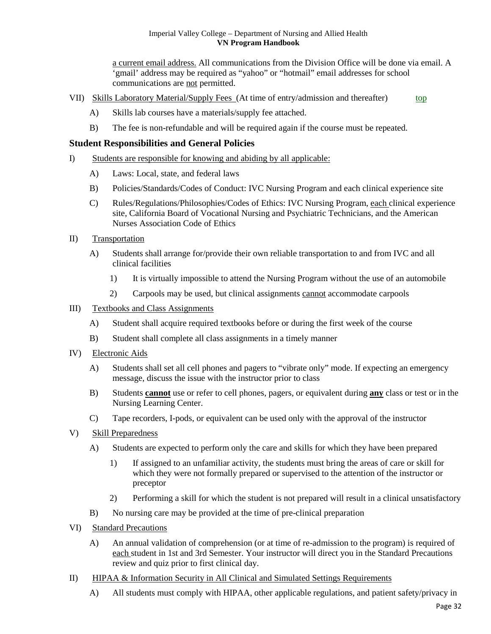a current email address. All communications from the Division Office will be done via email. A 'gmail' address may be required as "yahoo" or "hotmail" email addresses for school communications are not permitted.

- <span id="page-31-0"></span>VII) Skills Laboratory Material/Supply Fees (At time of entry/admission and thereafter) [top](#page-3-0)
	- A) Skills lab courses have a materials/supply fee attached.
	- B) The fee is non-refundable and will be required again if the course must be repeated.

# <span id="page-31-1"></span>**Student Responsibilities and General Policies**

- I) Students are responsible for knowing and abiding by all applicable:
	- A) Laws: Local, state, and federal laws
	- B) Policies/Standards/Codes of Conduct: IVC Nursing Program and each clinical experience site
	- C) Rules/Regulations/Philosophies/Codes of Ethics: IVC Nursing Program, each clinical experience site, California Board of Vocational Nursing and Psychiatric Technicians, and the American Nurses Association Code of Ethics
- II) Transportation
	- A) Students shall arrange for/provide their own reliable transportation to and from IVC and all clinical facilities
		- 1) It is virtually impossible to attend the Nursing Program without the use of an automobile
		- 2) Carpools may be used, but clinical assignments cannot accommodate carpools

# III) Textbooks and Class Assignments

- A) Student shall acquire required textbooks before or during the first week of the course
- B) Student shall complete all class assignments in a timely manner
- IV) Electronic Aids
	- A) Students shall set all cell phones and pagers to "vibrate only" mode. If expecting an emergency message, discuss the issue with the instructor prior to class
	- B) Students **cannot** use or refer to cell phones, pagers, or equivalent during **any** class or test or in the Nursing Learning Center.
	- C) Tape recorders, I-pods, or equivalent can be used only with the approval of the instructor
- V) Skill Preparedness
	- A) Students are expected to perform only the care and skills for which they have been prepared
		- 1) If assigned to an unfamiliar activity, the students must bring the areas of care or skill for which they were not formally prepared or supervised to the attention of the instructor or preceptor
		- 2) Performing a skill for which the student is not prepared will result in a clinical unsatisfactory
	- B) No nursing care may be provided at the time of pre-clinical preparation
- VI) Standard Precautions
	- A) An annual validation of comprehension (or at time of re-admission to the program) is required of each student in 1st and 3rd Semester. Your instructor will direct you in the Standard Precautions review and quiz prior to first clinical day.
- II) HIPAA & Information Security in All Clinical and Simulated Settings Requirements
	- A) All students must comply with HIPAA, other applicable regulations, and patient safety/privacy in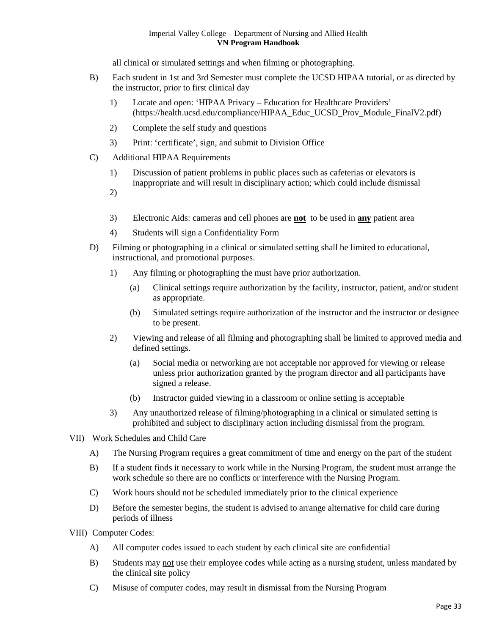all clinical or simulated settings and when filming or photographing.

- B) Each student in 1st and 3rd Semester must complete the UCSD HIPAA tutorial, or as directed by the instructor, prior to first clinical day
	- 1) Locate and open: 'HIPAA Privacy Education for Healthcare Providers' [\(https://health.ucsd.edu/compliance/HIPAA\\_Educ\\_UCSD\\_Prov\\_Module\\_FinalV2.pdf\)](https://health.ucsd.edu/compliance/HIPAA_Educ_UCSD_Prov_Module_FinalV2.pdf)
	- 2) Complete the self study and questions
	- 3) Print: 'certificate', sign, and submit to Division Office
- C) Additional HIPAA Requirements
	- 1) Discussion of patient problems in public places such as cafeterias or elevators is inappropriate and will result in disciplinary action; which could include dismissal
	- 2)
	- 3) Electronic Aids: cameras and cell phones are **not** to be used in **any** patient area
	- 4) Students will sign a Confidentiality Form
- D) Filming or photographing in a clinical or simulated setting shall be limited to educational, instructional, and promotional purposes.
	- 1) Any filming or photographing the must have prior authorization.
		- (a) Clinical settings require authorization by the facility, instructor, patient, and/or student as appropriate.
		- (b) Simulated settings require authorization of the instructor and the instructor or designee to be present.
	- 2) Viewing and release of all filming and photographing shall be limited to approved media and defined settings.
		- (a) Social media or networking are not acceptable nor approved for viewing or release unless prior authorization granted by the program director and all participants have signed a release.
		- (b) Instructor guided viewing in a classroom or online setting is acceptable
	- 3) Any unauthorized release of filming/photographing in a clinical or simulated setting is prohibited and subject to disciplinary action including dismissal from the program.
- VII) Work Schedules and Child Care
	- A) The Nursing Program requires a great commitment of time and energy on the part of the student
	- B) If a student finds it necessary to work while in the Nursing Program, the student must arrange the work schedule so there are no conflicts or interference with the Nursing Program.
	- C) Work hours should not be scheduled immediately prior to the clinical experience
	- D) Before the semester begins, the student is advised to arrange alternative for child care during periods of illness
- VIII) Computer Codes:
	- A) All computer codes issued to each student by each clinical site are confidential
	- B) Students may not use their employee codes while acting as a nursing student, unless mandated by the clinical site policy
	- C) Misuse of computer codes, may result in dismissal from the Nursing Program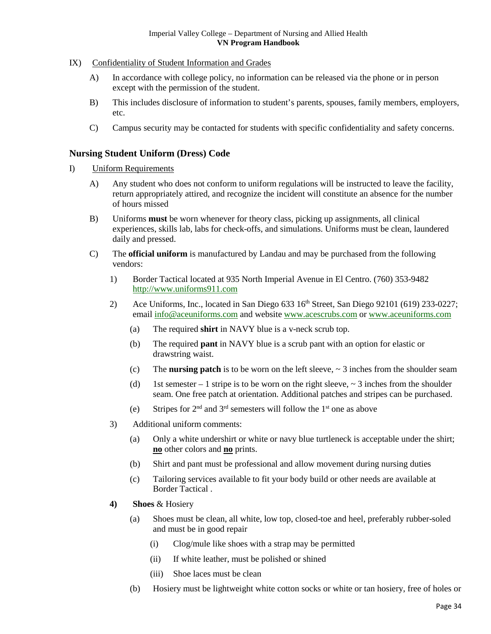- IX) Confidentiality of Student Information and Grades
	- A) In accordance with college policy, no information can be released via the phone or in person except with the permission of the student.
	- B) This includes disclosure of information to student's parents, spouses, family members, employers, etc.
	- C) Campus security may be contacted for students with specific confidentiality and safety concerns.

# <span id="page-33-0"></span>**Nursing Student Uniform (Dress) Code**

- I) Uniform Requirements
	- A) Any student who does not conform to uniform regulations will be instructed to leave the facility, return appropriately attired, and recognize the incident will constitute an absence for the number of hours missed
	- B) Uniforms **must** be worn whenever for theory class, picking up assignments, all clinical experiences, skills lab, labs for check-offs, and simulations. Uniforms must be clean, laundered daily and pressed.
	- C) The **official uniform** is manufactured by Landau and may be purchased from the following vendors:
		- 1) Border Tactical located at 935 North Imperial Avenue in El Centro. (760) 353-9482 [http://www.uniforms911.com](http://www.uniforms911.com/)
		- 2) Ace Uniforms, Inc., located in San Diego 633 16<sup>th</sup> Street, San Diego 92101 (619) 233-0227; email [info@aceuniforms.com](mailto:info@aceuniforms.com) and website [www.acescrubs.com](http://www.acescrubs.com/) or [www.aceuniforms.com](http://www.aceuniforms.com/)
			- (a) The required **shirt** in NAVY blue is a v-neck scrub top.
			- (b) The required **pant** in NAVY blue is a scrub pant with an option for elastic or drawstring waist.
			- (c) The **nursing patch** is to be worn on the left sleeve,  $\sim$  3 inches from the shoulder seam
			- (d) 1st semester 1 stripe is to be worn on the right sleeve,  $\sim$  3 inches from the shoulder seam. One free patch at orientation. Additional patches and stripes can be purchased.
			- (e) Stripes for  $2<sup>nd</sup>$  and  $3<sup>rd</sup>$  semesters will follow the  $1<sup>st</sup>$  one as above
		- 3) Additional uniform comments:
			- (a) Only a white undershirt or white or navy blue turtleneck is acceptable under the shirt; **no** other colors and **no** prints.
			- (b) Shirt and pant must be professional and allow movement during nursing duties
			- (c) Tailoring services available to fit your body build or other needs are available at Border Tactical .
		- **4) Shoes** & Hosiery
			- (a) Shoes must be clean, all white, low top, closed-toe and heel, preferably rubber-soled and must be in good repair
				- (i) Clog/mule like shoes with a strap may be permitted
				- (ii) If white leather, must be polished or shined
				- (iii) Shoe laces must be clean
			- (b) Hosiery must be lightweight white cotton socks or white or tan hosiery, free of holes or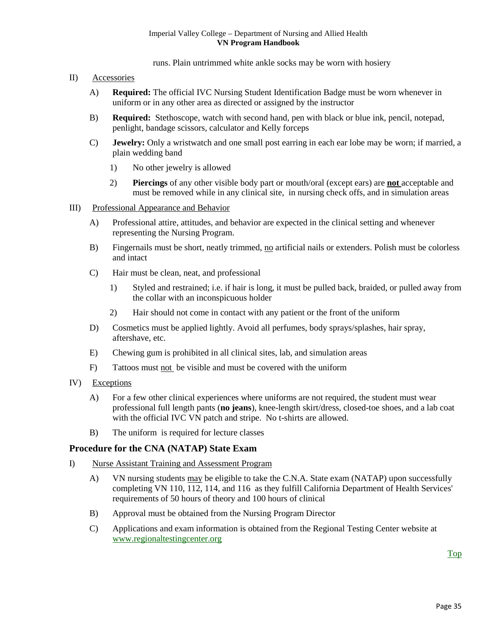runs. Plain untrimmed white ankle socks may be worn with hosiery

- II) Accessories
	- A) **Required:** The official IVC Nursing Student Identification Badge must be worn whenever in uniform or in any other area as directed or assigned by the instructor
	- B) **Required:** Stethoscope, watch with second hand, pen with black or blue ink, pencil, notepad, penlight, bandage scissors, calculator and Kelly forceps
	- C) **Jewelry:** Only a wristwatch and one small post earring in each ear lobe may be worn; if married, a plain wedding band
		- 1) No other jewelry is allowed
		- 2) **Piercings** of any other visible body part or mouth/oral (except ears) are **not** acceptable and must be removed while in any clinical site, in nursing check offs, and in simulation areas
- III) Professional Appearance and Behavior
	- A) Professional attire, attitudes, and behavior are expected in the clinical setting and whenever representing the Nursing Program.
	- B) Fingernails must be short, neatly trimmed, no artificial nails or extenders. Polish must be colorless and intact
	- C) Hair must be clean, neat, and professional
		- 1) Styled and restrained; i.e. if hair is long, it must be pulled back, braided, or pulled away from the collar with an inconspicuous holder
		- 2) Hair should not come in contact with any patient or the front of the uniform
	- D) Cosmetics must be applied lightly. Avoid all perfumes, body sprays/splashes, hair spray, aftershave, etc.
	- E) Chewing gum is prohibited in all clinical sites, lab, and simulation areas
	- F) Tattoos must not be visible and must be covered with the uniform
- IV) Exceptions
	- A) For a few other clinical experiences where uniforms are not required, the student must wear professional full length pants (**no jeans**), knee-length skirt/dress, closed-toe shoes, and a lab coat with the official IVC VN patch and stripe. No t-shirts are allowed.
	- B) The uniform is required for lecture classes

# <span id="page-34-0"></span>**Procedure for the CNA (NATAP) State Exam**

- I) Nurse Assistant Training and Assessment Program
	- A) VN nursing students may be eligible to take the C.N.A. State exam (NATAP) upon successfully completing VN 110, 112, 114, and 116 as they fulfill California Department of Health Services' requirements of 50 hours of theory and 100 hours of clinical
	- B) Approval must be obtained from the Nursing Program Director
	- C) Applications and exam information is obtained from the Regional Testing Center website at [www.regionaltestingcenter.org](http://www.regionaltestingcenter.org/)

[Top](#page-3-0)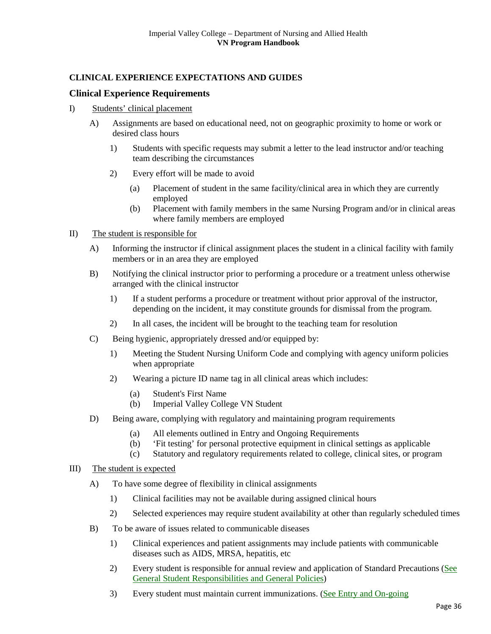# **CLINICAL EXPERIENCE EXPECTATIONS AND GUIDES**

# <span id="page-35-0"></span>**Clinical Experience Requirements**

- I) Students' clinical placement
	- A) Assignments are based on educational need, not on geographic proximity to home or work or desired class hours
		- 1) Students with specific requests may submit a letter to the lead instructor and/or teaching team describing the circumstances
		- 2) Every effort will be made to avoid
			- (a) Placement of student in the same facility/clinical area in which they are currently employed
			- (b) Placement with family members in the same Nursing Program and/or in clinical areas where family members are employed

# II) The student is responsible for

- A) Informing the instructor if clinical assignment places the student in a clinical facility with family members or in an area they are employed
- B) Notifying the clinical instructor prior to performing a procedure or a treatment unless otherwise arranged with the clinical instructor
	- 1) If a student performs a procedure or treatment without prior approval of the instructor, depending on the incident, it may constitute grounds for dismissal from the program.
	- 2) In all cases, the incident will be brought to the teaching team for resolution
- C) Being hygienic, appropriately dressed and/or equipped by:
	- 1) Meeting the Student Nursing Uniform Code and complying with agency uniform policies when appropriate
	- 2) Wearing a picture ID name tag in all clinical areas which includes:
		- (a) Student's First Name
		- (b) Imperial Valley College VN Student
- D) Being aware, complying with regulatory and maintaining program requirements
	- (a) All elements outlined in Entry and Ongoing Requirements
	- (b) 'Fit testing' for personal protective equipment in clinical settings as applicable
	- (c) Statutory and regulatory requirements related to college, clinical sites, or program

#### III) The student is expected

- A) To have some degree of flexibility in clinical assignments
	- 1) Clinical facilities may not be available during assigned clinical hours
	- 2) Selected experiences may require student availability at other than regularly scheduled times
- B) To be aware of issues related to communicable diseases
	- 1) Clinical experiences and patient assignments may include patients with communicable diseases such as AIDS, MRSA, hepatitis, etc
	- 2) Every student is responsible for annual review and application of Standard Precautions [\(See](#page-31-1)  [General Student Responsibilities and General Policies\)](#page-31-1)
	- 3) Every student must maintain current immunizations. [\(See Entry and On-going](#page-28-0)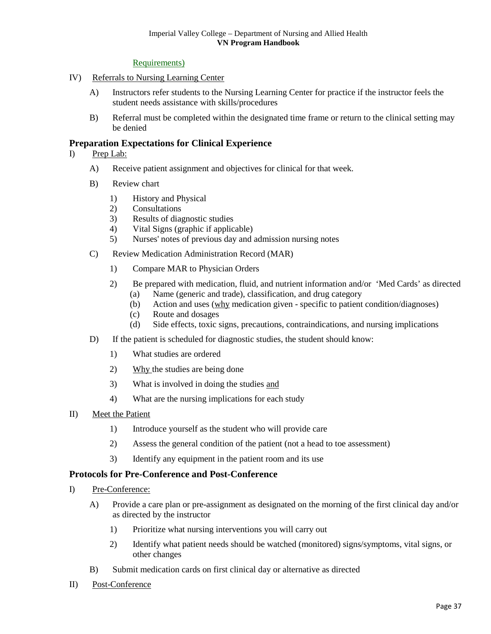#### [Requirements\)](#page-28-0)

- IV) Referrals to Nursing Learning Center
	- A) Instructors refer students to the Nursing Learning Center for practice if the instructor feels the student needs assistance with skills/procedures
	- B) Referral must be completed within the designated time frame or return to the clinical setting may be denied

# <span id="page-36-0"></span>**Preparation Expectations for Clinical Experience**

- I) Prep Lab:
	- A) Receive patient assignment and objectives for clinical for that week.
	- B) Review chart
		- 1) History and Physical
		- 2) Consultations
		- 3) Results of diagnostic studies
		- 4) Vital Signs (graphic if applicable)
		- 5) Nurses' notes of previous day and admission nursing notes
	- C) Review Medication Administration Record (MAR)
		- 1) Compare MAR to Physician Orders
		- 2) Be prepared with medication, fluid, and nutrient information and/or 'Med Cards' as directed
			- (a) Name (generic and trade), classification, and drug category
			- (b) Action and uses (why medication given specific to patient condition/diagnoses)
			- (c) Route and dosages
			- (d) Side effects, toxic signs, precautions, contraindications, and nursing implications
	- D) If the patient is scheduled for diagnostic studies, the student should know:
		- 1) What studies are ordered
		- 2) Why the studies are being done
		- 3) What is involved in doing the studies and
		- 4) What are the nursing implications for each study
- II) Meet the Patient
	- 1) Introduce yourself as the student who will provide care
	- 2) Assess the general condition of the patient (not a head to toe assessment)
	- 3) Identify any equipment in the patient room and its use

#### <span id="page-36-1"></span>**Protocols for Pre-Conference and Post-Conference**

- I) Pre-Conference:
	- A) Provide a care plan or pre-assignment as designated on the morning of the first clinical day and/or as directed by the instructor
		- 1) Prioritize what nursing interventions you will carry out
		- 2) Identify what patient needs should be watched (monitored) signs/symptoms, vital signs, or other changes
	- B) Submit medication cards on first clinical day or alternative as directed
- II) Post-Conference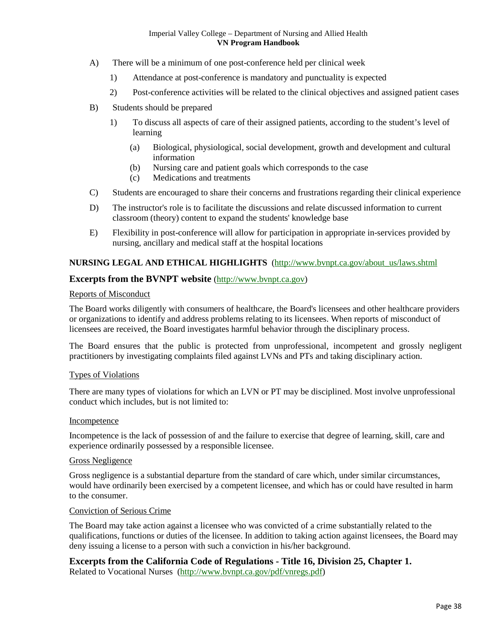- A) There will be a minimum of one post-conference held per clinical week
	- 1) Attendance at post-conference is mandatory and punctuality is expected
	- 2) Post-conference activities will be related to the clinical objectives and assigned patient cases
- B) Students should be prepared
	- 1) To discuss all aspects of care of their assigned patients, according to the student's level of learning
		- (a) Biological, physiological, social development, growth and development and cultural information
		- (b) Nursing care and patient goals which corresponds to the case
		- (c) Medications and treatments
- C) Students are encouraged to share their concerns and frustrations regarding their clinical experience
- D) The instructor's role is to facilitate the discussions and relate discussed information to current classroom (theory) content to expand the students' knowledge base
- E) Flexibility in post-conference will allow for participation in appropriate in-services provided by nursing, ancillary and medical staff at the hospital locations

# <span id="page-37-3"></span>**NURSING LEGAL AND ETHICAL HIGHLIGHTS** [\(http://www.bvnpt.ca.gov/about\\_us/laws.shtml](http://www.bvnpt.ca.gov/about_us/laws.shtml)

# <span id="page-37-0"></span>**Excerpts from the BVNPT website** [\(http://www.bvnpt.ca.gov\)](http://www.bvnpt.ca.gov/)

#### Reports of Misconduct

The Board works diligently with consumers of healthcare, the Board's licensees and other healthcare providers or organizations to identify and address problems relating to its licensees. When reports of misconduct of licensees are received, the Board investigates harmful behavior through the disciplinary process.

The Board ensures that the public is protected from unprofessional, incompetent and grossly negligent practitioners by investigating complaints filed against LVNs and PTs and taking disciplinary action.

# <span id="page-37-2"></span>Types of Violations

There are many types of violations for which an LVN or PT may be disciplined. Most involve unprofessional conduct which includes, but is not limited to:

#### Incompetence

Incompetence is the lack of possession of and the failure to exercise that degree of learning, skill, care and experience ordinarily possessed by a responsible licensee.

#### Gross Negligence

Gross negligence is a substantial departure from the standard of care which, under similar circumstances, would have ordinarily been exercised by a competent licensee, and which has or could have resulted in harm to the consumer.

#### Conviction of Serious Crime

The Board may take action against a licensee who was convicted of a crime substantially related to the qualifications, functions or duties of the licensee. In addition to taking action against licensees, the Board may deny issuing a license to a person with such a conviction in his/her background.

<span id="page-37-1"></span>**Excerpts from the California Code of Regulations - Title 16, Division 25, Chapter 1.**  Related to Vocational Nurses [\(http://www.bvnpt.ca.gov/pdf/vnregs.pdf\)](http://www.bvnpt.ca.gov/pdf/vnregs.pdf)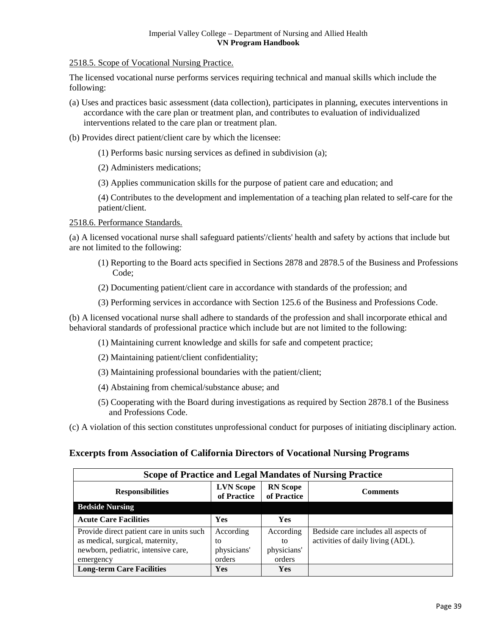2518.5. Scope of Vocational Nursing Practice.

The licensed vocational nurse performs services requiring technical and manual skills which include the following:

- (a) Uses and practices basic assessment (data collection), participates in planning, executes interventions in accordance with the care plan or treatment plan, and contributes to evaluation of individualized interventions related to the care plan or treatment plan.
- (b) Provides direct patient/client care by which the licensee:
	- (1) Performs basic nursing services as defined in subdivision (a);
	- (2) Administers medications;
	- (3) Applies communication skills for the purpose of patient care and education; and

(4) Contributes to the development and implementation of a teaching plan related to self-care for the patient/client.

<span id="page-38-1"></span>2518.6. Performance Standards.

(a) A licensed vocational nurse shall safeguard patients'/clients' health and safety by actions that include but are not limited to the following:

- (1) Reporting to the Board acts specified in Sections 2878 and 2878.5 of the Business and Professions Code;
- (2) Documenting patient/client care in accordance with standards of the profession; and
- (3) Performing services in accordance with Section 125.6 of the Business and Professions Code.

(b) A licensed vocational nurse shall adhere to standards of the profession and shall incorporate ethical and behavioral standards of professional practice which include but are not limited to the following:

- (1) Maintaining current knowledge and skills for safe and competent practice;
- (2) Maintaining patient/client confidentiality;
- (3) Maintaining professional boundaries with the patient/client;
- (4) Abstaining from chemical/substance abuse; and
- (5) Cooperating with the Board during investigations as required by Section 2878.1 of the Business and Professions Code.
- (c) A violation of this section constitutes unprofessional conduct for purposes of initiating disciplinary action.

# <span id="page-38-0"></span>**Excerpts from Association of California Directors of Vocational Nursing Programs**

| <b>Scope of Practice and Legal Mandates of Nursing Practice</b> |                                 |                                |                                      |  |
|-----------------------------------------------------------------|---------------------------------|--------------------------------|--------------------------------------|--|
| <b>Responsibilities</b>                                         | <b>LVN</b> Scope<br>of Practice | <b>RN</b> Scope<br>of Practice | <b>Comments</b>                      |  |
| <b>Bedside Nursing</b>                                          |                                 |                                |                                      |  |
| <b>Acute Care Facilities</b>                                    | Yes                             | Yes                            |                                      |  |
| Provide direct patient care in units such                       | According                       | According                      | Bedside care includes all aspects of |  |
| as medical, surgical, maternity,                                | to                              | to                             | activities of daily living (ADL).    |  |
| newborn, pediatric, intensive care,                             | physicians'                     | physicians'                    |                                      |  |
| emergency                                                       | orders                          | orders                         |                                      |  |
| <b>Long-term Care Facilities</b>                                | <b>Yes</b>                      | Yes                            |                                      |  |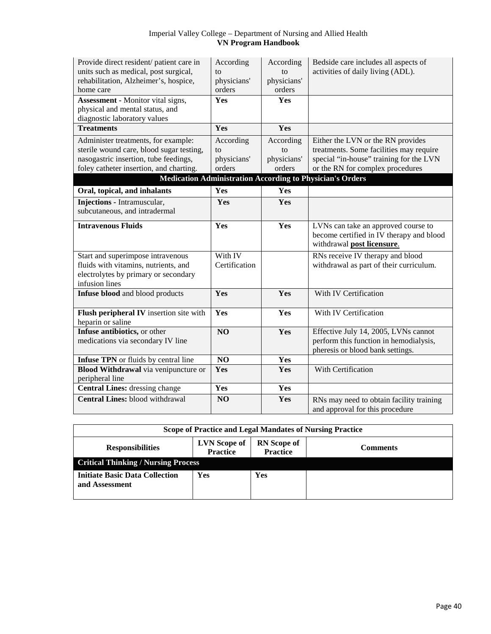| Provide direct resident/ patient care in<br>units such as medical, post surgical,<br>rehabilitation, Alzheimer's, hospice,<br>home care                             | According<br>$\mathsf{f} \Omega$<br>physicians'<br>orders | According<br>tΩ<br>physicians'<br>orders | Bedside care includes all aspects of<br>activities of daily living (ADL).                                                                                                                                                       |
|---------------------------------------------------------------------------------------------------------------------------------------------------------------------|-----------------------------------------------------------|------------------------------------------|---------------------------------------------------------------------------------------------------------------------------------------------------------------------------------------------------------------------------------|
| <b>Assessment - Monitor vital signs,</b><br>physical and mental status, and<br>diagnostic laboratory values                                                         | Yes                                                       | Yes                                      |                                                                                                                                                                                                                                 |
| <b>Treatments</b>                                                                                                                                                   | Yes                                                       | Yes                                      |                                                                                                                                                                                                                                 |
| Administer treatments, for example:<br>sterile wound care, blood sugar testing,<br>nasogastric insertion, tube feedings,<br>foley catheter insertion, and charting. | According<br>to<br>physicians'<br>orders                  | According<br>to<br>physicians'<br>orders | Either the LVN or the RN provides<br>treatments. Some facilities may require<br>special "in-house" training for the LVN<br>or the RN for complex procedures<br><b>Medication Administration According to Physician's Orders</b> |
| Oral, topical, and inhalants                                                                                                                                        | Yes                                                       | Yes                                      |                                                                                                                                                                                                                                 |
| <b>Injections</b> - Intramuscular,<br>subcutaneous, and intradermal                                                                                                 | Yes                                                       | Yes                                      |                                                                                                                                                                                                                                 |
| <b>Intravenous Fluids</b>                                                                                                                                           | Yes                                                       | Yes                                      | LVNs can take an approved course to<br>become certified in IV therapy and blood<br>withdrawal post licensure.                                                                                                                   |
| Start and superimpose intravenous<br>fluids with vitamins, nutrients, and<br>electrolytes by primary or secondary<br>infusion lines                                 | With IV<br>Certification                                  |                                          | RNs receive IV therapy and blood<br>withdrawal as part of their curriculum.                                                                                                                                                     |
| Infuse blood and blood products                                                                                                                                     | Yes                                                       | Yes                                      | With IV Certification                                                                                                                                                                                                           |
| Flush peripheral IV insertion site with<br>heparin or saline                                                                                                        | Yes                                                       | Yes                                      | With IV Certification                                                                                                                                                                                                           |
| Infuse antibiotics, or other<br>medications via secondary IV line                                                                                                   | N <sub>O</sub>                                            | Yes                                      | Effective July 14, 2005, LVNs cannot<br>perform this function in hemodialysis,<br>pheresis or blood bank settings.                                                                                                              |
| Infuse TPN or fluids by central line                                                                                                                                | NO                                                        | Yes                                      |                                                                                                                                                                                                                                 |
| Blood Withdrawal via venipuncture or<br>peripheral line                                                                                                             | Yes                                                       | Yes                                      | With Certification                                                                                                                                                                                                              |
| <b>Central Lines:</b> dressing change                                                                                                                               | Yes                                                       | Yes                                      |                                                                                                                                                                                                                                 |
| <b>Central Lines:</b> blood withdrawal                                                                                                                              | NO                                                        | Yes                                      | RNs may need to obtain facility training<br>and approval for this procedure                                                                                                                                                     |

| Scope of Practice and Legal Mandates of Nursing Practice |                                        |                                       |                 |
|----------------------------------------------------------|----------------------------------------|---------------------------------------|-----------------|
| <b>Responsibilities</b>                                  | <b>LVN</b> Scope of<br><b>Practice</b> | <b>RN</b> Scope of<br><b>Practice</b> | <b>Comments</b> |
| <b>Critical Thinking / Nursing Process</b>               |                                        |                                       |                 |
| <b>Initiate Basic Data Collection</b><br>and Assessment  | Yes                                    | Yes                                   |                 |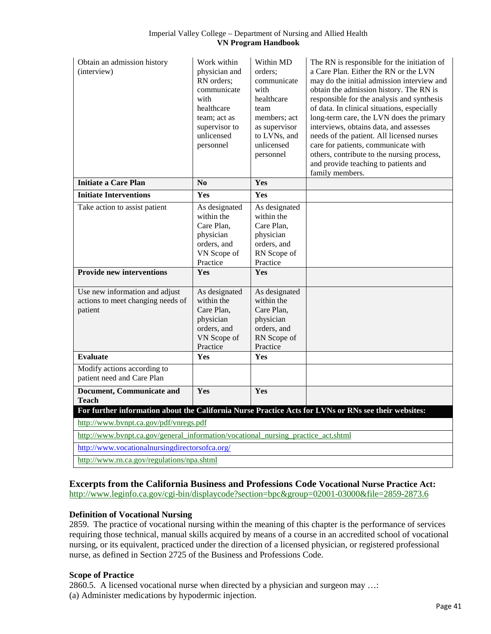| Obtain an admission history<br>(interview)                                                           | Work within<br>physician and<br>RN orders;<br>communicate<br>with<br>healthcare<br>team; act as<br>supervisor to<br>unlicensed<br>personnel | Within MD<br>orders:<br>communicate<br>with<br>healthcare<br>team<br>members; act<br>as supervisor<br>to LVNs, and<br>unlicensed<br>personnel | The RN is responsible for the initiation of<br>a Care Plan. Either the RN or the LVN<br>may do the initial admission interview and<br>obtain the admission history. The RN is<br>responsible for the analysis and synthesis<br>of data. In clinical situations, especially<br>long-term care, the LVN does the primary<br>interviews, obtains data, and assesses<br>needs of the patient. All licensed nurses<br>care for patients, communicate with<br>others, contribute to the nursing process,<br>and provide teaching to patients and<br>family members. |
|------------------------------------------------------------------------------------------------------|---------------------------------------------------------------------------------------------------------------------------------------------|-----------------------------------------------------------------------------------------------------------------------------------------------|---------------------------------------------------------------------------------------------------------------------------------------------------------------------------------------------------------------------------------------------------------------------------------------------------------------------------------------------------------------------------------------------------------------------------------------------------------------------------------------------------------------------------------------------------------------|
| <b>Initiate a Care Plan</b>                                                                          | No                                                                                                                                          | <b>Yes</b>                                                                                                                                    |                                                                                                                                                                                                                                                                                                                                                                                                                                                                                                                                                               |
| <b>Initiate Interventions</b>                                                                        | Yes                                                                                                                                         | Yes                                                                                                                                           |                                                                                                                                                                                                                                                                                                                                                                                                                                                                                                                                                               |
| Take action to assist patient                                                                        | As designated<br>within the<br>Care Plan,<br>physician<br>orders, and<br>VN Scope of<br>Practice<br>Yes                                     | As designated<br>within the<br>Care Plan,<br>physician<br>orders, and<br>RN Scope of<br>Practice                                              |                                                                                                                                                                                                                                                                                                                                                                                                                                                                                                                                                               |
| <b>Provide new interventions</b>                                                                     |                                                                                                                                             | Yes                                                                                                                                           |                                                                                                                                                                                                                                                                                                                                                                                                                                                                                                                                                               |
| Use new information and adjust<br>actions to meet changing needs of<br>patient                       | As designated<br>within the<br>Care Plan,<br>physician<br>orders, and<br>VN Scope of<br>Practice                                            | As designated<br>within the<br>Care Plan,<br>physician<br>orders, and<br>RN Scope of<br>Practice                                              |                                                                                                                                                                                                                                                                                                                                                                                                                                                                                                                                                               |
| <b>Evaluate</b>                                                                                      | Yes                                                                                                                                         | Yes                                                                                                                                           |                                                                                                                                                                                                                                                                                                                                                                                                                                                                                                                                                               |
| Modify actions according to<br>patient need and Care Plan                                            |                                                                                                                                             |                                                                                                                                               |                                                                                                                                                                                                                                                                                                                                                                                                                                                                                                                                                               |
| <b>Document, Communicate and</b><br><b>Teach</b>                                                     | Yes                                                                                                                                         | Yes                                                                                                                                           |                                                                                                                                                                                                                                                                                                                                                                                                                                                                                                                                                               |
| For further information about the California Nurse Practice Acts for LVNs or RNs see their websites: |                                                                                                                                             |                                                                                                                                               |                                                                                                                                                                                                                                                                                                                                                                                                                                                                                                                                                               |
| http://www.bvnpt.ca.gov/pdf/vnregs.pdf                                                               |                                                                                                                                             |                                                                                                                                               |                                                                                                                                                                                                                                                                                                                                                                                                                                                                                                                                                               |
| http://www.bvnpt.ca.gov/general information/vocational nursing practice act.shtml                    |                                                                                                                                             |                                                                                                                                               |                                                                                                                                                                                                                                                                                                                                                                                                                                                                                                                                                               |
| http://www.vocationalnursingdirectorsofca.org/                                                       |                                                                                                                                             |                                                                                                                                               |                                                                                                                                                                                                                                                                                                                                                                                                                                                                                                                                                               |
| http://www.rn.ca.gov/regulations/npa.shtml                                                           |                                                                                                                                             |                                                                                                                                               |                                                                                                                                                                                                                                                                                                                                                                                                                                                                                                                                                               |

<span id="page-40-0"></span>**Excerpts from the California Business and Professions Code Vocational Nurse Practice Act:**  <http://www.leginfo.ca.gov/cgi-bin/displaycode?section=bpc&group=02001-03000&file=2859-2873.6>

# **Definition of Vocational Nursing**

2859. The practice of vocational nursing within the meaning of this chapter is the performance of services requiring those technical, manual skills acquired by means of a course in an accredited school of vocational nursing, or its equivalent, practiced under the direction of a licensed physician, or registered professional nurse, as defined in Section 2725 of the Business and Professions Code.

# **Scope of Practice**

2860.5. A licensed vocational nurse when directed by a physician and surgeon may …: (a) Administer medications by hypodermic injection.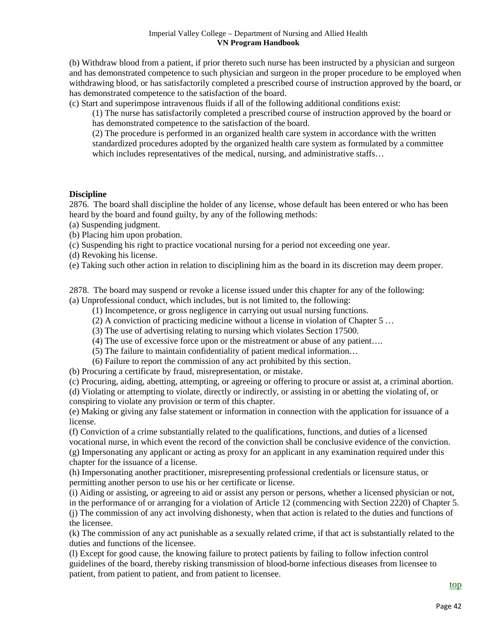(b) Withdraw blood from a patient, if prior thereto such nurse has been instructed by a physician and surgeon and has demonstrated competence to such physician and surgeon in the proper procedure to be employed when withdrawing blood, or has satisfactorily completed a prescribed course of instruction approved by the board, or has demonstrated competence to the satisfaction of the board.

(c) Start and superimpose intravenous fluids if all of the following additional conditions exist:

(1) The nurse has satisfactorily completed a prescribed course of instruction approved by the board or has demonstrated competence to the satisfaction of the board.

(2) The procedure is performed in an organized health care system in accordance with the written standardized procedures adopted by the organized health care system as formulated by a committee which includes representatives of the medical, nursing, and administrative staffs...

# <span id="page-41-0"></span>**Discipline**

2876. The board shall discipline the holder of any license, whose default has been entered or who has been heard by the board and found guilty, by any of the following methods:

- (a) Suspending judgment.
- (b) Placing him upon probation.
- (c) Suspending his right to practice vocational nursing for a period not exceeding one year.
- (d) Revoking his license.
- (e) Taking such other action in relation to disciplining him as the board in its discretion may deem proper.

2878. The board may suspend or revoke a license issued under this chapter for any of the following: (a) Unprofessional conduct, which includes, but is not limited to, the following:

- (1) Incompetence, or gross negligence in carrying out usual nursing functions.
- (2) A conviction of practicing medicine without a license in violation of Chapter 5 …
- (3) The use of advertising relating to nursing which violates Section 17500.
- (4) The use of excessive force upon or the mistreatment or abuse of any patient….
- (5) The failure to maintain confidentiality of patient medical information…
- (6) Failure to report the commission of any act prohibited by this section.

(b) Procuring a certificate by fraud, misrepresentation, or mistake.

(c) Procuring, aiding, abetting, attempting, or agreeing or offering to procure or assist at, a criminal abortion.

(d) Violating or attempting to violate, directly or indirectly, or assisting in or abetting the violating of, or conspiring to violate any provision or term of this chapter.

(e) Making or giving any false statement or information in connection with the application for issuance of a license.

(f) Conviction of a crime substantially related to the qualifications, functions, and duties of a licensed vocational nurse, in which event the record of the conviction shall be conclusive evidence of the conviction. (g) Impersonating any applicant or acting as proxy for an applicant in any examination required under this

chapter for the issuance of a license.

(h) Impersonating another practitioner, misrepresenting professional credentials or licensure status, or permitting another person to use his or her certificate or license.

(i) Aiding or assisting, or agreeing to aid or assist any person or persons, whether a licensed physician or not, in the performance of or arranging for a violation of Article 12 (commencing with Section 2220) of Chapter 5. (j) The commission of any act involving dishonesty, when that action is related to the duties and functions of the licensee.

(k) The commission of any act punishable as a sexually related crime, if that act is substantially related to the duties and functions of the licensee.

(l) Except for good cause, the knowing failure to protect patients by failing to follow infection control guidelines of the board, thereby risking transmission of blood-borne infectious diseases from licensee to patient, from patient to patient, and from patient to licensee.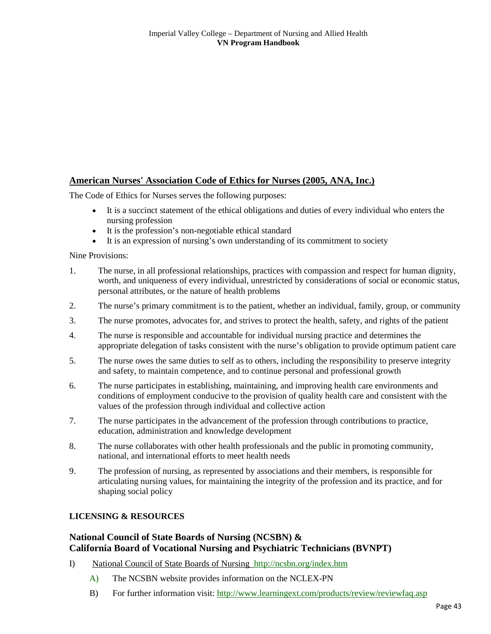# <span id="page-42-0"></span>**American Nurses' Association Code of Ethics for Nurses (2005, ANA, Inc.)**

The Code of Ethics for Nurses serves the following purposes:

- It is a succinct statement of the ethical obligations and duties of every individual who enters the nursing profession
- It is the profession's non-negotiable ethical standard
- It is an expression of nursing's own understanding of its commitment to society

Nine Provisions:

- 1. The nurse, in all professional relationships, practices with compassion and respect for human dignity, worth, and uniqueness of every individual, unrestricted by considerations of social or economic status, personal attributes, or the nature of health problems
- 2. The nurse's primary commitment is to the patient, whether an individual, family, group, or community
- 3. The nurse promotes, advocates for, and strives to protect the health, safety, and rights of the patient
- 4. The nurse is responsible and accountable for individual nursing practice and determines the appropriate delegation of tasks consistent with the nurse's obligation to provide optimum patient care
- 5. The nurse owes the same duties to self as to others, including the responsibility to preserve integrity and safety, to maintain competence, and to continue personal and professional growth
- 6. The nurse participates in establishing, maintaining, and improving health care environments and conditions of employment conducive to the provision of quality health care and consistent with the values of the profession through individual and collective action
- 7. The nurse participates in the advancement of the profession through contributions to practice, education, administration and knowledge development
- 8. The nurse collaborates with other health professionals and the public in promoting community, national, and international efforts to meet health needs
- 9. The profession of nursing, as represented by associations and their members, is responsible for articulating nursing values, for maintaining the integrity of the profession and its practice, and for shaping social policy

# **LICENSING & RESOURCES**

# <span id="page-42-1"></span>**National Council of State Boards of Nursing (NCSBN) & California Board of Vocational Nursing and Psychiatric Technicians (BVNPT)**

- I) National Council of State Boards of Nursing <http://ncsbn.org/index.htm>
	- A) The NCSBN website provides information on the NCLEX-PN
	- B) For further information visit:<http://www.learningext.com/products/review/reviewfaq.asp>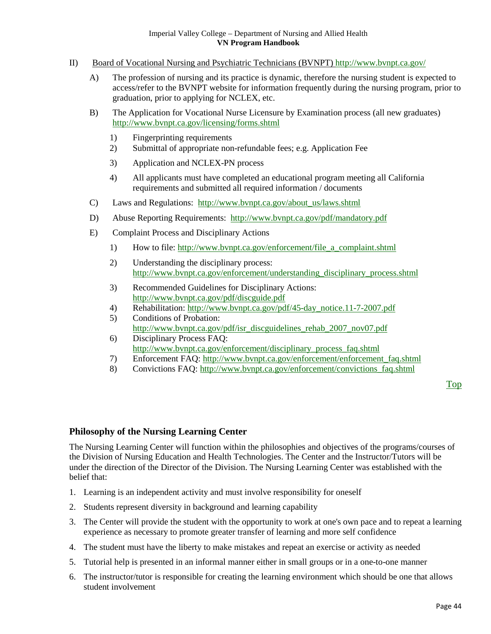- II) Board of Vocational Nursing and Psychiatric Technicians (BVNPT) <http://www.bvnpt.ca.gov/>
	- A) The profession of nursing and its practice is dynamic, therefore the nursing student is expected to access/refer to the BVNPT website for information frequently during the nursing program, prior to graduation, prior to applying for NCLEX, etc.
	- B) The Application for Vocational Nurse Licensure by Examination process (all new graduates) <http://www.bvnpt.ca.gov/licensing/forms.shtml>
		- 1) Fingerprinting requirements
		- 2) Submittal of appropriate non-refundable fees; e.g. Application Fee
		- 3) Application and NCLEX-PN process
		- 4) All applicants must have completed an educational program meeting all California requirements and submitted all required information / documents
	- C) Laws and Regulations: [http://www.bvnpt.ca.gov/about\\_us/laws.shtml](http://www.bvnpt.ca.gov/about_us/laws.shtml)
	- D) Abuse Reporting Requirements: <http://www.bvnpt.ca.gov/pdf/mandatory.pdf>
	- E) Complaint Process and Disciplinary Actions
		- 1) How to file: [http://www.bvnpt.ca.gov/enforcement/file\\_a\\_complaint.shtml](http://www.bvnpt.ca.gov/enforcement/file_a_complaint.shtml)
		- 2) Understanding the disciplinary process: [http://www.bvnpt.ca.gov/enforcement/understanding\\_disciplinary\\_process.shtml](http://www.bvnpt.ca.gov/enforcement/understanding_disciplinary_process.shtml)
		- 3) Recommended Guidelines for Disciplinary Actions: <http://www.bvnpt.ca.gov/pdf/discguide.pdf>
		- 4) Rehabilitation[: http://www.bvnpt.ca.gov/pdf/45-day\\_notice.11-7-2007.pdf](http://www.bvnpt.ca.gov/pdf/45-day_notice.11-7-2007.pdf)
		- 5) Conditions of Probation: [http://www.bvnpt.ca.gov/pdf/isr\\_discguidelines\\_rehab\\_2007\\_nov07.pdf](http://www.bvnpt.ca.gov/pdf/isr_discguidelines_rehab_2007_nov07.pdf)
		- 6) Disciplinary Process FAQ: [http://www.bvnpt.ca.gov/enforcement/disciplinary\\_process\\_faq.shtml](http://www.bvnpt.ca.gov/enforcement/disciplinary_process_faq.shtml)
		- 7) Enforcement FAQ: [http://www.bvnpt.ca.gov/enforcement/enforcement\\_faq.shtml](http://www.bvnpt.ca.gov/enforcement/enforcement_faq.shtml)
		- 8) Convictions FAQ: [http://www.bvnpt.ca.gov/enforcement/convictions\\_faq.shtml](http://www.bvnpt.ca.gov/enforcement/convictions_faq.shtml)

[Top](#page-3-0)

# <span id="page-43-0"></span>**Philosophy of the Nursing Learning Center**

The Nursing Learning Center will function within the philosophies and objectives of the programs/courses of the Division of Nursing Education and Health Technologies. The Center and the Instructor/Tutors will be under the direction of the Director of the Division. The Nursing Learning Center was established with the belief that:

- 1. Learning is an independent activity and must involve responsibility for oneself
- 2. Students represent diversity in background and learning capability
- 3. The Center will provide the student with the opportunity to work at one's own pace and to repeat a learning experience as necessary to promote greater transfer of learning and more self confidence
- 4. The student must have the liberty to make mistakes and repeat an exercise or activity as needed
- 5. Tutorial help is presented in an informal manner either in small groups or in a one-to-one manner
- 6. The instructor/tutor is responsible for creating the learning environment which should be one that allows student involvement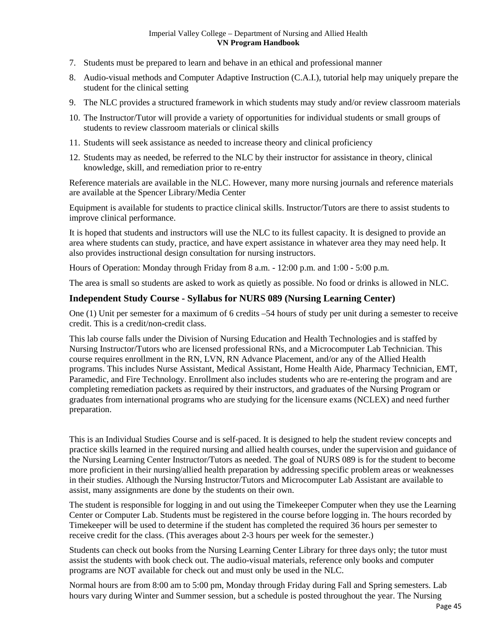- 7. Students must be prepared to learn and behave in an ethical and professional manner
- 8. Audio-visual methods and Computer Adaptive Instruction (C.A.I.), tutorial help may uniquely prepare the student for the clinical setting
- 9. The NLC provides a structured framework in which students may study and/or review classroom materials
- 10. The Instructor/Tutor will provide a variety of opportunities for individual students or small groups of students to review classroom materials or clinical skills
- 11. Students will seek assistance as needed to increase theory and clinical proficiency
- 12. Students may as needed, be referred to the NLC by their instructor for assistance in theory, clinical knowledge, skill, and remediation prior to re-entry

Reference materials are available in the NLC. However, many more nursing journals and reference materials are available at the Spencer Library/Media Center

Equipment is available for students to practice clinical skills. Instructor/Tutors are there to assist students to improve clinical performance.

It is hoped that students and instructors will use the NLC to its fullest capacity. It is designed to provide an area where students can study, practice, and have expert assistance in whatever area they may need help. It also provides instructional design consultation for nursing instructors.

Hours of Operation: Monday through Friday from 8 a.m. - 12:00 p.m. and 1:00 - 5:00 p.m.

The area is small so students are asked to work as quietly as possible. No food or drinks is allowed in NLC.

# <span id="page-44-0"></span>**Independent Study Course - Syllabus for NURS 089 (Nursing Learning Center)**

One (1) Unit per semester for a maximum of 6 credits –54 hours of study per unit during a semester to receive credit. This is a credit/non-credit class.

This lab course falls under the Division of Nursing Education and Health Technologies and is staffed by Nursing Instructor/Tutors who are licensed professional RNs, and a Microcomputer Lab Technician. This course requires enrollment in the RN, LVN, RN Advance Placement, and/or any of the Allied Health programs. This includes Nurse Assistant, Medical Assistant, Home Health Aide, Pharmacy Technician, EMT, Paramedic, and Fire Technology. Enrollment also includes students who are re-entering the program and are completing remediation packets as required by their instructors, and graduates of the Nursing Program or graduates from international programs who are studying for the licensure exams (NCLEX) and need further preparation.

This is an Individual Studies Course and is self-paced. It is designed to help the student review concepts and practice skills learned in the required nursing and allied health courses, under the supervision and guidance of the Nursing Learning Center Instructor/Tutors as needed. The goal of NURS 089 is for the student to become more proficient in their nursing/allied health preparation by addressing specific problem areas or weaknesses in their studies. Although the Nursing Instructor/Tutors and Microcomputer Lab Assistant are available to assist, many assignments are done by the students on their own.

The student is responsible for logging in and out using the Timekeeper Computer when they use the Learning Center or Computer Lab. Students must be registered in the course before logging in. The hours recorded by Timekeeper will be used to determine if the student has completed the required 36 hours per semester to receive credit for the class. (This averages about 2-3 hours per week for the semester.)

Students can check out books from the Nursing Learning Center Library for three days only; the tutor must assist the students with book check out. The audio-visual materials, reference only books and computer programs are NOT available for check out and must only be used in the NLC.

Normal hours are from 8:00 am to 5:00 pm, Monday through Friday during Fall and Spring semesters. Lab hours vary during Winter and Summer session, but a schedule is posted throughout the year. The Nursing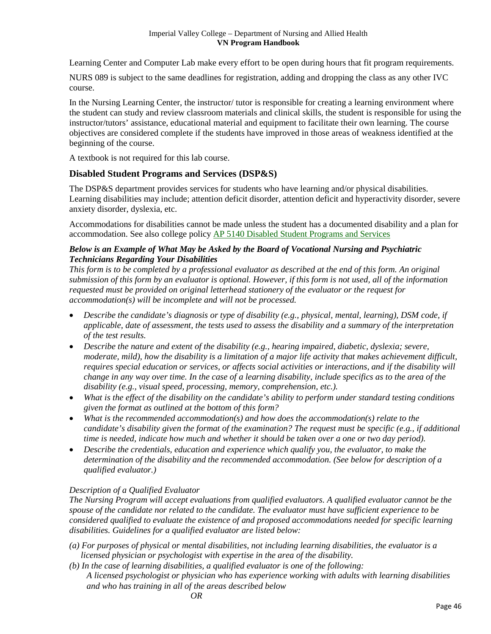Learning Center and Computer Lab make every effort to be open during hours that fit program requirements.

NURS 089 is subject to the same deadlines for registration, adding and dropping the class as any other IVC course.

In the Nursing Learning Center, the instructor/ tutor is responsible for creating a learning environment where the student can study and review classroom materials and clinical skills, the student is responsible for using the instructor/tutors' assistance, educational material and equipment to facilitate their own learning. The course objectives are considered complete if the students have improved in those areas of weakness identified at the beginning of the course.

A textbook is not required for this lab course.

# <span id="page-45-0"></span>**Disabled Student Programs and Services (DSP&S)**

The DSP&S department provides services for students who have learning and/or physical disabilities. Learning disabilities may include; attention deficit disorder, attention deficit and hyperactivity disorder, severe anxiety disorder, dyslexia, etc.

Accommodations for disabilities cannot be made unless the student has a documented disability and a plan for accommodation. See also college policy AP 5140 Disabled [Student Programs and Services](http://www.imperial.edu/admin/Media/File_Upload/165-Files/AP%205140%20DIsabled%20Student%20Programs%20and%20Services.pdf) 

# *Below is an Example of What May be Asked by the Board of Vocational Nursing and Psychiatric Technicians Regarding Your Disabilities*

*This form is to be completed by a professional evaluator as described at the end of this form. An original submission of this form by an evaluator is optional. However, if this form is not used, all of the information requested must be provided on original letterhead stationery of the evaluator or the request for accommodation(s) will be incomplete and will not be processed.*

- *Describe the candidate's diagnosis or type of disability (e.g., physical, mental, learning), DSM code, if applicable, date of assessment, the tests used to assess the disability and a summary of the interpretation of the test results.*
- *Describe the nature and extent of the disability (e.g., hearing impaired, diabetic, dyslexia; severe, moderate, mild), how the disability is a limitation of a major life activity that makes achievement difficult, requires special education or services, or affects social activities or interactions, and if the disability will change in any way over time. In the case of a learning disability, include specifics as to the area of the disability (e.g., visual speed, processing, memory, comprehension, etc.).*
- *What is the effect of the disability on the candidate's ability to perform under standard testing conditions given the format as outlined at the bottom of this form?*
- *What is the recommended accommodation(s) and how does the accommodation(s) relate to the candidate's disability given the format of the examination? The request must be specific (e.g., if additional time is needed, indicate how much and whether it should be taken over a one or two day period).*
- *Describe the credentials, education and experience which qualify you, the evaluator, to make the determination of the disability and the recommended accommodation. (See below for description of a qualified evaluator.)*

# *Description of a Qualified Evaluator*

*The Nursing Program will accept evaluations from qualified evaluators. A qualified evaluator cannot be the spouse of the candidate nor related to the candidate. The evaluator must have sufficient experience to be considered qualified to evaluate the existence of and proposed accommodations needed for specific learning disabilities. Guidelines for a qualified evaluator are listed below:*

- *(a) For purposes of physical or mental disabilities, not including learning disabilities, the evaluator is a licensed physician or psychologist with expertise in the area of the disability.*
- *(b) In the case of learning disabilities, a qualified evaluator is one of the following: A licensed psychologist or physician who has experience working with adults with learning disabilities and who has training in all of the areas described below*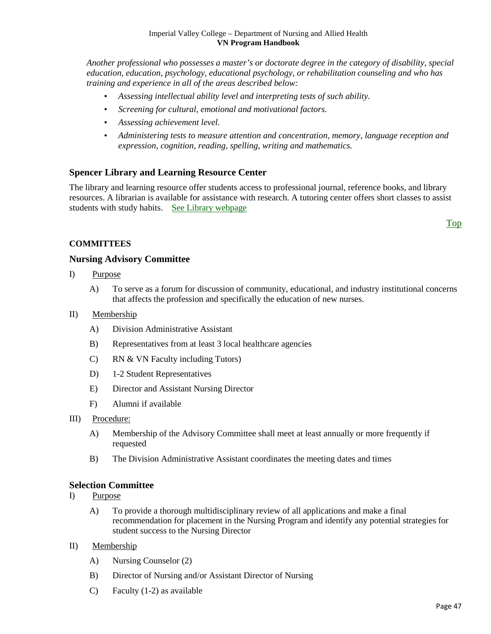*Another professional who possesses a master's or doctorate degree in the category of disability, special education, education, psychology, educational psychology, or rehabilitation counseling and who has training and experience in all of the areas described below:*

- *Assessing intellectual ability level and interpreting tests of such ability.*
- *Screening for cultural, emotional and motivational factors.*
- *Assessing achievement level.*
- *Administering tests to measure attention and concentration, memory, language reception and expression, cognition, reading, spelling, writing and mathematics.*

# <span id="page-46-0"></span>**Spencer Library and Learning Resource Center**

The library and learning resource offer students access to professional journal, reference books, and library resources. A librarian is available for assistance with research. A tutoring center offers short classes to assist students with study habits. [See Library webpage](http://www.imperial.edu/index.php?pid=790)

[Top](#page-3-0)

# **COMMITTEES**

# <span id="page-46-1"></span>**Nursing Advisory Committee**

- I) Purpose
	- A) To serve as a forum for discussion of community, educational, and industry institutional concerns that affects the profession and specifically the education of new nurses.

#### II) Membership

- A) Division Administrative Assistant
- B) Representatives from at least 3 local healthcare agencies
- C) RN & VN Faculty including Tutors)
- D) 1-2 Student Representatives
- E) Director and Assistant Nursing Director
- F) Alumni if available
- III) Procedure:
	- A) Membership of the Advisory Committee shall meet at least annually or more frequently if requested
	- B) The Division Administrative Assistant coordinates the meeting dates and times

# <span id="page-46-2"></span>**Selection Committee**

- I) Purpose
	- A) To provide a thorough multidisciplinary review of all applications and make a final recommendation for placement in the Nursing Program and identify any potential strategies for student success to the Nursing Director
- II) Membership
	- A) Nursing Counselor (2)
	- B) Director of Nursing and/or Assistant Director of Nursing
	- C) Faculty (1-2) as available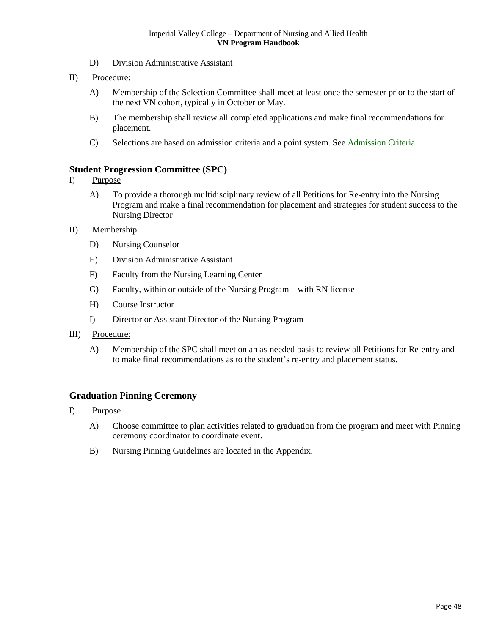- D) Division Administrative Assistant
- II) Procedure:
	- A) Membership of the Selection Committee shall meet at least once the semester prior to the start of the next VN cohort, typically in October or May.
	- B) The membership shall review all completed applications and make final recommendations for placement.
	- C) Selections are based on admission criteria and a point system. See Admission Criteria

# <span id="page-47-0"></span>**Student Progression Committee (SPC)**

- I) Purpose
	- A) To provide a thorough multidisciplinary review of all Petitions for Re-entry into the Nursing Program and make a final recommendation for placement and strategies for student success to the Nursing Director
- II) Membership
	- D) Nursing Counselor
	- E) Division Administrative Assistant
	- F) Faculty from the Nursing Learning Center
	- G) Faculty, within or outside of the Nursing Program with RN license
	- H) Course Instructor
	- I) Director or Assistant Director of the Nursing Program
- III) Procedure:
	- A) Membership of the SPC shall meet on an as-needed basis to review all Petitions for Re-entry and to make final recommendations as to the student's re-entry and placement status.

# <span id="page-47-1"></span>**Graduation Pinning Ceremony**

- <span id="page-47-2"></span>I) Purpose
	- A) Choose committee to plan activities related to graduation from the program and meet with Pinning ceremony coordinator to coordinate event.
	- B) Nursing Pinning Guidelines are located in the Appendix.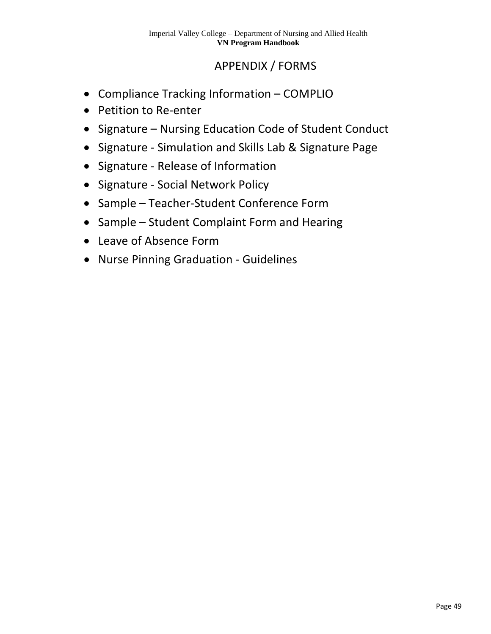# APPENDIX / FORMS

- Compliance Tracking Information COMPLIO
- Petition to Re-enter
- Signature Nursing Education Code of Student Conduct
- Signature Simulation and Skills Lab & Signature Page
- Signature Release of Information
- Signature Social Network Policy
- Sample Teacher-Student Conference Form
- Sample Student Complaint Form and Hearing
- Leave of Absence Form
- Nurse Pinning Graduation Guidelines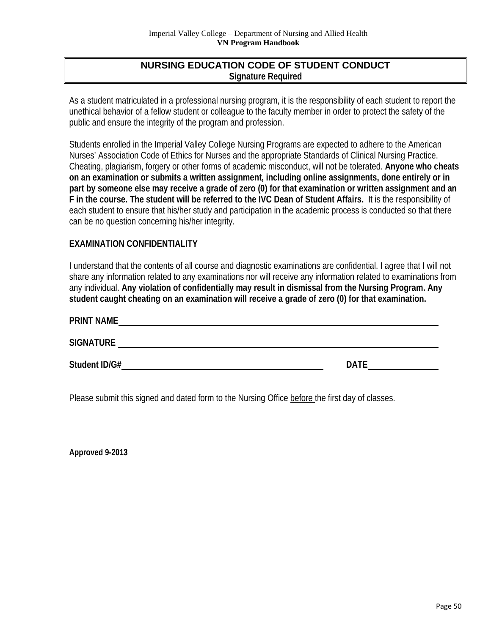# **NURSING EDUCATION CODE OF STUDENT CONDUCT Signature Required**

As a student matriculated in a professional nursing program, it is the responsibility of each student to report the unethical behavior of a fellow student or colleague to the faculty member in order to protect the safety of the public and ensure the integrity of the program and profession.

Students enrolled in the Imperial Valley College Nursing Programs are expected to adhere to the American Nurses' Association Code of Ethics for Nurses and the appropriate Standards of Clinical Nursing Practice. Cheating, plagiarism, forgery or other forms of academic misconduct, will not be tolerated. **Anyone who cheats on an examination or submits a written assignment, including online assignments, done entirely or in part by someone else may receive a grade of zero (0) for that examination or written assignment and an F in the course. The student will be referred to the IVC Dean of Student Affairs.**It is the responsibility of each student to ensure that his/her study and participation in the academic process is conducted so that there can be no question concerning his/her integrity.

# **EXAMINATION CONFIDENTIALITY**

I understand that the contents of all course and diagnostic examinations are confidential. I agree that I will not share any information related to any examinations nor will receive any information related to examinations from any individual. **Any violation of confidentially may result in dismissal from the Nursing Program. Any student caught cheating on an examination will receive a grade of zero (0) for that examination.** 

| <b>PRINT NAME</b> |             |
|-------------------|-------------|
| <b>SIGNATURE</b>  |             |
| Student ID/G#     | <b>DATE</b> |

Please submit this signed and dated form to the Nursing Office before the first day of classes.

**Approved 9-2013**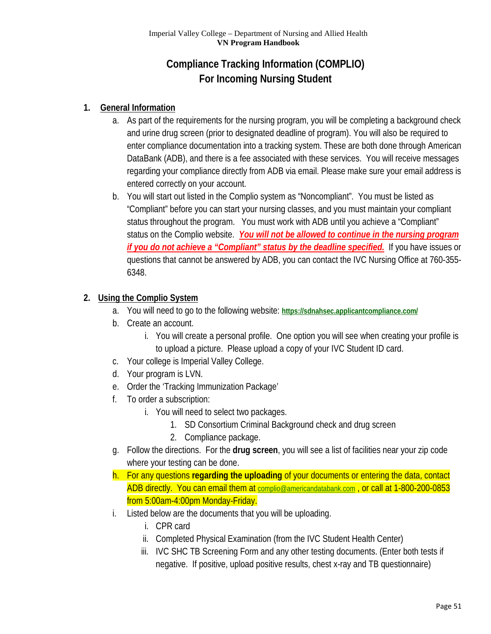# **Compliance Tracking Information (COMPLIO) For Incoming Nursing Student**

# **1. General Information**

- a. As part of the requirements for the nursing program, you will be completing a background check and urine drug screen (prior to designated deadline of program). You will also be required to enter compliance documentation into a tracking system. These are both done through American DataBank (ADB), and there is a fee associated with these services. You will receive messages regarding your compliance directly from ADB via email. Please make sure your email address is entered correctly on your account.
- b. You will start out listed in the Complio system as "Noncompliant". You must be listed as "Compliant" before you can start your nursing classes, and you must maintain your compliant status throughout the program. You must work with ADB until you achieve a "Compliant" status on the Complio website. *You will not be allowed to continue in the nursing program if you do not achieve a "Compliant" status by the deadline specified.* If you have issues or questions that cannot be answered by ADB, you can contact the IVC Nursing Office at 760-355- 6348.

# **2. Using the Complio System**

- a. You will need to go to the following website: **<https://sdnahsec.applicantcompliance.com/>**
- b. Create an account.
	- i. You will create a personal profile. One option you will see when creating your profile is to upload a picture. Please upload a copy of your IVC Student ID card.
- c. Your college is Imperial Valley College.
- d. Your program is LVN.
- e. Order the 'Tracking Immunization Package'
- f. To order a subscription:
	- i. You will need to select two packages.
		- 1. SD Consortium Criminal Background check and drug screen
		- 2. Compliance package.
- g. Follow the directions. For the **drug screen**, you will see a list of facilities near your zip code where your testing can be done.
- h. For any questions **regarding the uploading** of your documents or entering the data, contact ADB directly. You can email them at [complio@americandatabank.com](mailto:complio@americandatabank.com) , or call at 1-800-200-0853 from 5:00am-4:00pm Monday-Friday.
- i. Listed below are the documents that you will be uploading.
	- i. CPR card
	- ii. Completed Physical Examination (from the IVC Student Health Center)
	- iii. IVC SHC TB Screening Form and any other testing documents. (Enter both tests if negative. If positive, upload positive results, chest x-ray and TB questionnaire)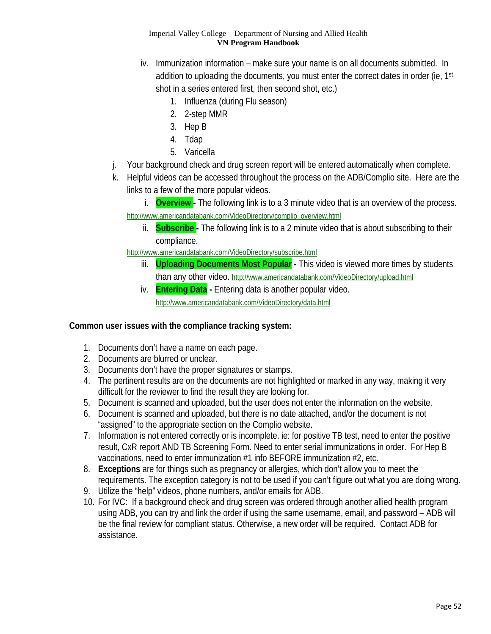- iv. Immunization information make sure your name is on all documents submitted. In addition to uploading the documents, you must enter the correct dates in order (ie, 1<sup>st</sup> shot in a series entered first, then second shot, etc.)
	- 1. Influenza (during Flu season)
	- 2. 2-step MMR
	- 3. Hep B
	- 4. Tdap
	- 5. Varicella
- j. Your background check and drug screen report will be entered automatically when complete.
- k. Helpful videos can be accessed throughout the process on the ADB/Complio site. Here are the links to a few of the more popular videos.
	- i. **Overview -** The following link is to a 3 minute video that is an overview of the process. [http://www.americandatabank.com/VideoDirectory/complio\\_overview.html](http://www.americandatabank.com/VideoDirectory/complio_overview.html)
		- ii. **Subscribe -** The following link is to a 2 minute video that is about subscribing to their compliance.

<http://www.americandatabank.com/VideoDirectory/subscribe.html>

- iii. **Uploading Documents Most Popular -** This video is viewed more times by students than any other video.<http://www.americandatabank.com/VideoDirectory/upload.html>
- iv. **Entering Data -** Entering data is another popular video. <http://www.americandatabank.com/VideoDirectory/data.html>

# **Common user issues with the compliance tracking system:**

- 1. Documents don't have a name on each page.
- 2. Documents are blurred or unclear.
- 3. Documents don't have the proper signatures or stamps.
- 4. The pertinent results are on the documents are not highlighted or marked in any way, making it very difficult for the reviewer to find the result they are looking for.
- 5. Document is scanned and uploaded, but the user does not enter the information on the website.
- 6. Document is scanned and uploaded, but there is no date attached, and/or the document is not "assigned" to the appropriate section on the Complio website.
- 7. Information is not entered correctly or is incomplete. ie: for positive TB test, need to enter the positive result, CxR report AND TB Screening Form. Need to enter serial immunizations in order. For Hep B vaccinations, need to enter immunization #1 info BEFORE immunization #2, etc.
- 8. **Exceptions** are for things such as pregnancy or allergies, which don't allow you to meet the requirements. The exception category is not to be used if you can't figure out what you are doing wrong.
- 9. Utilize the "help" videos, phone numbers, and/or emails for ADB.
- 10. For IVC: If a background check and drug screen was ordered through another allied health program using ADB, you can try and link the order if using the same username, email, and password – ADB will be the final review for compliant status. Otherwise, a new order will be required. Contact ADB for assistance.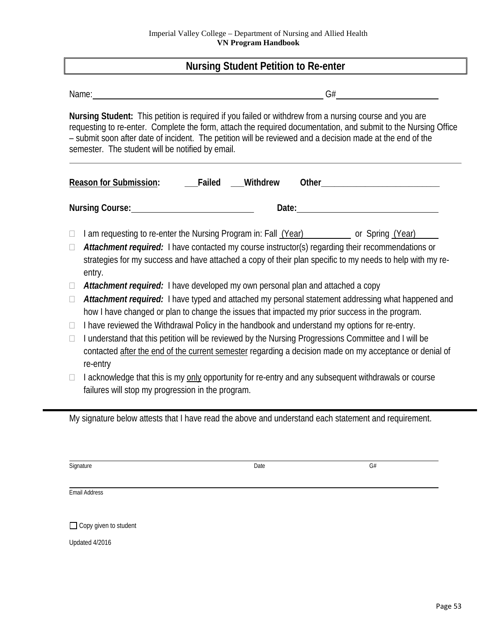# **Nursing Student Petition to Re-enter**

| Name:                                            |                 | G#                                                                                                                                                                                                                                                                                                                                    |
|--------------------------------------------------|-----------------|---------------------------------------------------------------------------------------------------------------------------------------------------------------------------------------------------------------------------------------------------------------------------------------------------------------------------------------|
| semester. The student will be notified by email. |                 | Nursing Student: This petition is required if you failed or withdrew from a nursing course and you are<br>requesting to re-enter. Complete the form, attach the required documentation, and submit to the Nursing Office<br>- submit soon after date of incident. The petition will be reviewed and a decision made at the end of the |
| <b>Reason for Submission:</b>                    | Failed Withdrew | Other <b>Communication</b>                                                                                                                                                                                                                                                                                                            |
| Nursing Course: Nursing Course:                  | Date:           |                                                                                                                                                                                                                                                                                                                                       |

- $\Box$  I am requesting to re-enter the Nursing Program in: Fall  $(Year)$  or Spring  $(Year)$
- □ **Attachment required:** I have contacted my course instructor(s) regarding their recommendations or strategies for my success and have attached a copy of their plan specific to my needs to help with my reentry.
- *Attachment required:* I have developed my own personal plan and attached a copy
- □ **Attachment required:** I have typed and attached my personal statement addressing what happened and how I have changed or plan to change the issues that impacted my prior success in the program.
- $\Box$  I have reviewed the Withdrawal Policy in the handbook and understand my options for re-entry.
- $\Box$  I understand that this petition will be reviewed by the Nursing Progressions Committee and I will be contacted after the end of the current semester regarding a decision made on my acceptance or denial of re-entry
- $\Box$  I acknowledge that this is my only opportunity for re-entry and any subsequent withdrawals or course failures will stop my progression in the program.

My signature below attests that I have read the above and understand each statement and requirement.

Signature Date G#

Email Address

 $\Box$  Copy given to student

Updated 4/2016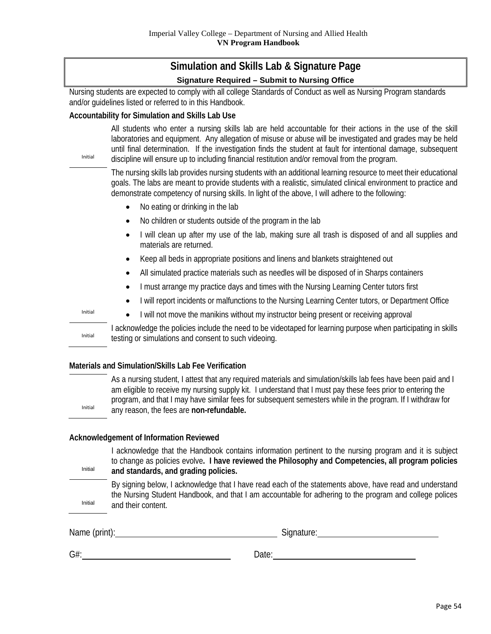# **Simulation and Skills Lab & Signature Page Signature Required – Submit to Nursing Office**

Nursing students are expected to comply with all college Standards of Conduct as well as Nursing Program standards and/or guidelines listed or referred to in this Handbook.

# **Accountability for Simulation and Skills Lab Use**

Initial

Initial

Initial

Initial

Initial

All students who enter a nursing skills lab are held accountable for their actions in the use of the skill laboratories and equipment. Any allegation of misuse or abuse will be investigated and grades may be held until final determination. If the investigation finds the student at fault for intentional damage, subsequent discipline will ensure up to including financial restitution and/or removal from the program.

The nursing skills lab provides nursing students with an additional learning resource to meet their educational goals. The labs are meant to provide students with a realistic, simulated clinical environment to practice and demonstrate competency of nursing skills. In light of the above, I will adhere to the following:

- No eating or drinking in the lab
- No children or students outside of the program in the lab
- I will clean up after my use of the lab, making sure all trash is disposed of and all supplies and materials are returned.
- Keep all beds in appropriate positions and linens and blankets straightened out
- All simulated practice materials such as needles will be disposed of in Sharps containers
- I must arrange my practice days and times with the Nursing Learning Center tutors first
- I will report incidents or malfunctions to the Nursing Learning Center tutors, or Department Office
- I will not move the manikins without my instructor being present or receiving approval

I acknowledge the policies include the need to be videotaped for learning purpose when participating in skills testing or simulations and consent to such videoing.

# **Materials and Simulation/Skills Lab Fee Verification**

As a nursing student, I attest that any required materials and simulation/skills lab fees have been paid and I am eligible to receive my nursing supply kit. I understand that I must pay these fees prior to entering the program, and that I may have similar fees for subsequent semesters while in the program. If I withdraw for any reason, the fees are **non-refundable.** 

# **Acknowledgement of Information Reviewed**

I acknowledge that the Handbook contains information pertinent to the nursing program and it is subject to change as policies evolve**. I have reviewed the Philosophy and Competencies, all program policies and standards, and grading policies.**

Initial By signing below, I acknowledge that I have read each of the statements above, have read and understand the Nursing Student Handbook, and that I am accountable for adhering to the program and college polices and their content.

Name (print): Signature: Signature: Signature: Signature: Signature: Signature: Signature: Signature: Signature: Signature: Signature: Signature: Signature: Signature: Signature: Signature: Signature: Signature: Signature:

| $G#$ : | Date: |
|--------|-------|
|        |       |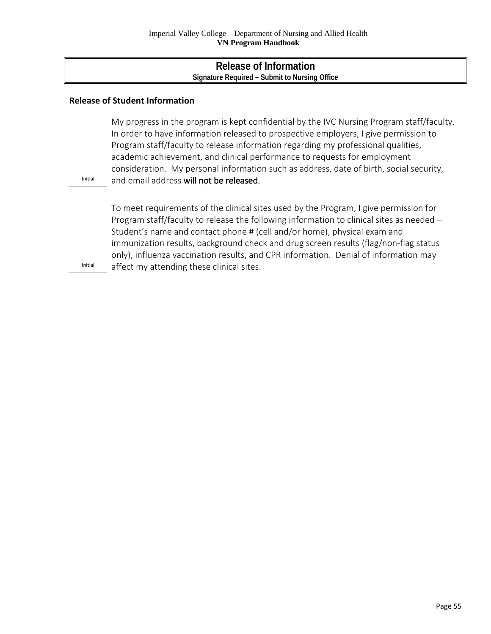# **Release of Information Signature Required – Submit to Nursing Office**

# **Release of Student Information**

My progress in the program is kept confidential by the IVC Nursing Program staff/faculty. In order to have information released to prospective employers, I give permission to Program staff/faculty to release information regarding my professional qualities, academic achievement, and clinical performance to requests for employment consideration. My personal information such as address, date of birth, social security, and email address will not be released.

Initial

To meet requirements of the clinical sites used by the Program, I give permission for Program staff/faculty to release the following information to clinical sites as needed – Student's name and contact phone # (cell and/or home), physical exam and immunization results, background check and drug screen results (flag/non-flag status only), influenza vaccination results, and CPR information. Denial of information may affect my attending these clinical sites.

Initial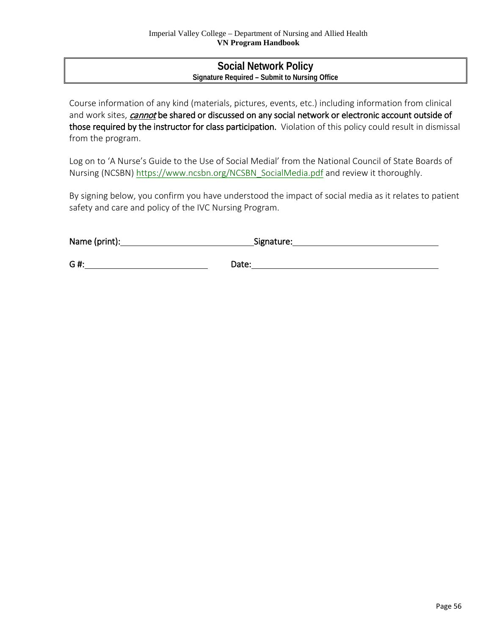# **Social Network Policy Signature Required – Submit to Nursing Office**

Course information of any kind (materials, pictures, events, etc.) including information from clinical and work sites, *cannot* be shared or discussed on any social network or electronic account outside of those required by the instructor for class participation. Violation of this policy could result in dismissal from the program.

Log on to 'A Nurse's Guide to the Use of Social Medial' from the National Council of State Boards of Nursing (NCSBN) [https://www.ncsbn.org/NCSBN\\_SocialMedia.pdf](https://www.ncsbn.org/NCSBN_SocialMedia.pdf) and review it thoroughly.

By signing below, you confirm you have understood the impact of social media as it relates to patient safety and care and policy of the IVC Nursing Program.

| Name (print): | Signature: |
|---------------|------------|
|               |            |
| G#:           | Date:      |

Page 56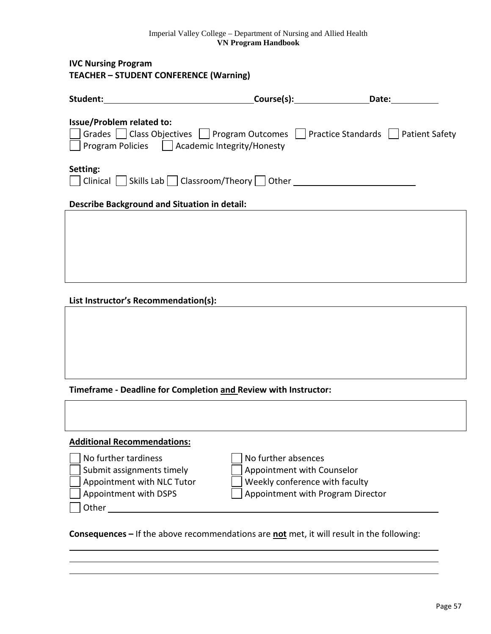**IVC Nursing Program TEACHER – STUDENT CONFERENCE (Warning)**

| Student:                                                                                                                                                                        | Date: |
|---------------------------------------------------------------------------------------------------------------------------------------------------------------------------------|-------|
| <b>Issue/Problem related to:</b><br>Grades     Class Objectives     Program Outcomes     Practice Standards     Patient Safety<br>Program Policies □ Academic Integrity/Honesty |       |
| Setting:<br>$Clinical$ Skills Lab Classroom/Theory Other                                                                                                                        |       |
| <b>Describe Background and Situation in detail:</b>                                                                                                                             |       |
|                                                                                                                                                                                 |       |
|                                                                                                                                                                                 |       |

**List Instructor's Recommendation(s):**

**Timeframe - Deadline for Completion and Review with Instructor:**

| <b>Additional Recommendations:</b> |                            |
|------------------------------------|----------------------------|
| No further tardiness               | No further absences        |
| Submit assignments timely          | Appointment with Counselor |

**Other** 

Appointment with NLC Tutor  $\Box$  Weekly conference with faculty

Appointment with DSPS  $\Box$  Appointment with Program Director

**Consequences –** If the above recommendations are **not** met, it will result in the following: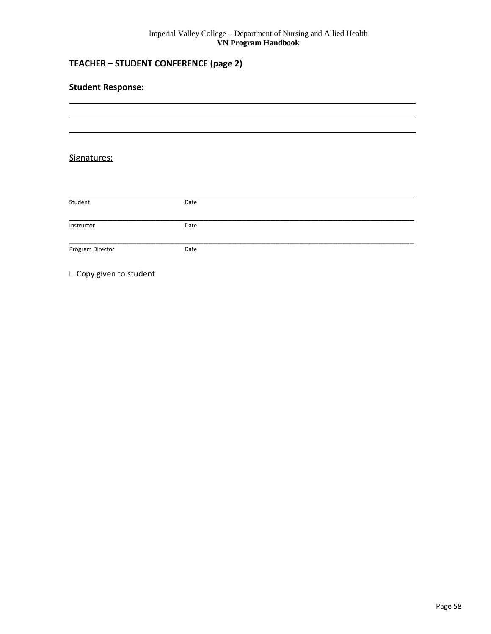# **TEACHER – STUDENT CONFERENCE (page 2)**

# Signatures:

| Student          | Date |  |
|------------------|------|--|
|                  |      |  |
| Instructor       | Date |  |
|                  |      |  |
| Program Director | Date |  |
|                  |      |  |

<span id="page-57-0"></span> $\square$  Copy given to student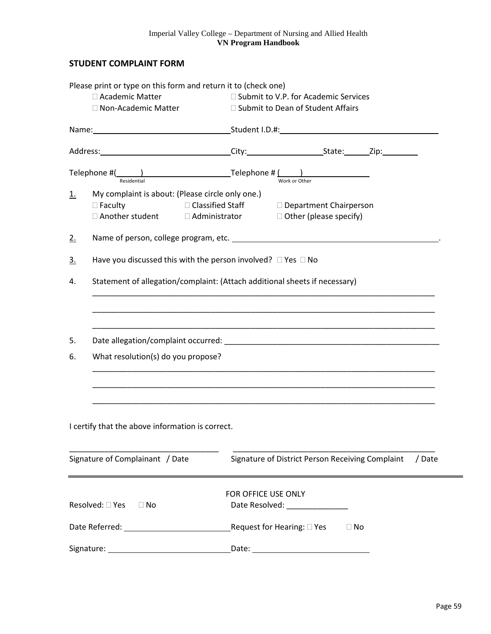# **STUDENT COMPLAINT FORM**

|                   | Please print or type on this form and return it to (check one)                                                                                                                                                                |                     |                                                                                                                                                                                                |        |  |  |  |
|-------------------|-------------------------------------------------------------------------------------------------------------------------------------------------------------------------------------------------------------------------------|---------------------|------------------------------------------------------------------------------------------------------------------------------------------------------------------------------------------------|--------|--|--|--|
|                   | □ Academic Matter                                                                                                                                                                                                             |                     | □ Submit to V.P. for Academic Services<br>□ Submit to Dean of Student Affairs<br>Name: 1.0.#: Student I.D.#: 1.0.#: 1.0.#: 1.0.#: 1.0.#: 1.0.#: 1.0.#: 1.0.#: 1.0.#: 1.0.#: 1.0.#: 1.0.#: 1.0. |        |  |  |  |
|                   | □ Non-Academic Matter                                                                                                                                                                                                         |                     |                                                                                                                                                                                                |        |  |  |  |
|                   |                                                                                                                                                                                                                               |                     |                                                                                                                                                                                                |        |  |  |  |
|                   |                                                                                                                                                                                                                               |                     |                                                                                                                                                                                                |        |  |  |  |
|                   | Telephone $\#$ ( $\qquad$ ) Telephone $\#$ ( $\qquad$ )<br>Residential                                                                                                                                                        |                     | Work or Other                                                                                                                                                                                  |        |  |  |  |
| <u>1.</u>         | My complaint is about: (Please circle only one.)                                                                                                                                                                              |                     |                                                                                                                                                                                                |        |  |  |  |
|                   | $\square$ Faculty                                                                                                                                                                                                             |                     | □ Classified Staff Department Chairperson                                                                                                                                                      |        |  |  |  |
|                   | $\Box$ Another student $\Box$ Administrator $\Box$ Other (please specify)                                                                                                                                                     |                     |                                                                                                                                                                                                |        |  |  |  |
| 2.                |                                                                                                                                                                                                                               |                     |                                                                                                                                                                                                |        |  |  |  |
| $\underline{3}$ . | Have you discussed this with the person involved? $\Box$ Yes $\Box$ No                                                                                                                                                        |                     |                                                                                                                                                                                                |        |  |  |  |
| 4.                | Statement of allegation/complaint: (Attach additional sheets if necessary)                                                                                                                                                    |                     |                                                                                                                                                                                                |        |  |  |  |
|                   |                                                                                                                                                                                                                               |                     |                                                                                                                                                                                                |        |  |  |  |
|                   |                                                                                                                                                                                                                               |                     |                                                                                                                                                                                                |        |  |  |  |
| 5.                | Date allegation/complaint occurred: entertainment of the state of the state of the state of the state of the state of the state of the state of the state of the state of the state of the state of the state of the state of |                     |                                                                                                                                                                                                |        |  |  |  |
| 6.                | What resolution(s) do you propose?                                                                                                                                                                                            |                     |                                                                                                                                                                                                |        |  |  |  |
|                   |                                                                                                                                                                                                                               |                     |                                                                                                                                                                                                |        |  |  |  |
|                   |                                                                                                                                                                                                                               |                     |                                                                                                                                                                                                |        |  |  |  |
|                   |                                                                                                                                                                                                                               |                     |                                                                                                                                                                                                |        |  |  |  |
|                   | I certify that the above information is correct.                                                                                                                                                                              |                     |                                                                                                                                                                                                |        |  |  |  |
|                   |                                                                                                                                                                                                                               |                     |                                                                                                                                                                                                |        |  |  |  |
|                   | Signature of Complainant / Date                                                                                                                                                                                               |                     | Signature of District Person Receiving Complaint                                                                                                                                               | / Date |  |  |  |
|                   |                                                                                                                                                                                                                               |                     |                                                                                                                                                                                                |        |  |  |  |
|                   |                                                                                                                                                                                                                               | FOR OFFICE USE ONLY |                                                                                                                                                                                                |        |  |  |  |
|                   | Resolved: □ Yes<br>$\Box$ No                                                                                                                                                                                                  |                     | Date Resolved: _______________                                                                                                                                                                 |        |  |  |  |
|                   |                                                                                                                                                                                                                               |                     | Request for Hearing: □ Yes<br>$\Box$ No                                                                                                                                                        |        |  |  |  |
|                   |                                                                                                                                                                                                                               |                     |                                                                                                                                                                                                |        |  |  |  |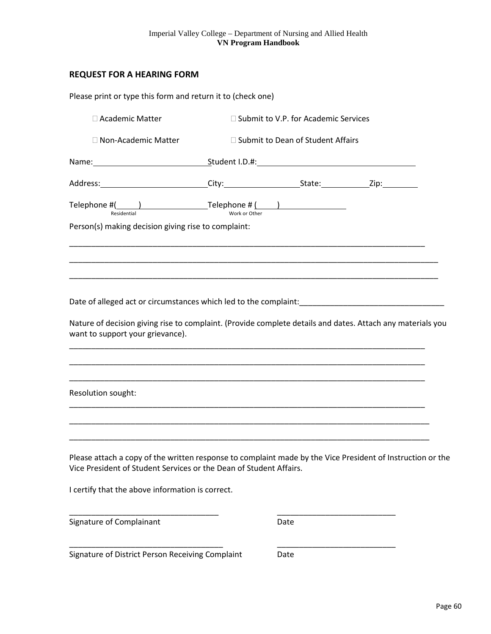# <span id="page-59-0"></span>**REQUEST FOR A HEARING FORM**

| Please print or type this form and return it to (check one)                                                                                                                      |                                        |  |
|----------------------------------------------------------------------------------------------------------------------------------------------------------------------------------|----------------------------------------|--|
| □ Academic Matter                                                                                                                                                                | □ Submit to V.P. for Academic Services |  |
| $\Box$ Non-Academic Matter                                                                                                                                                       | □ Submit to Dean of Student Affairs    |  |
| Name: 1.0.4: Student I.D.4: Student I.D.4: Student I.D.4: Student I.D.4: Student I.D.4: Student I.D.4: Student I                                                                 |                                        |  |
|                                                                                                                                                                                  |                                        |  |
|                                                                                                                                                                                  |                                        |  |
| Person(s) making decision giving rise to complaint:                                                                                                                              |                                        |  |
|                                                                                                                                                                                  |                                        |  |
|                                                                                                                                                                                  |                                        |  |
|                                                                                                                                                                                  |                                        |  |
|                                                                                                                                                                                  |                                        |  |
| Nature of decision giving rise to complaint. (Provide complete details and dates. Attach any materials you<br>want to support your grievance).                                   |                                        |  |
|                                                                                                                                                                                  |                                        |  |
| Resolution sought:                                                                                                                                                               |                                        |  |
|                                                                                                                                                                                  |                                        |  |
| Please attach a copy of the written response to complaint made by the Vice President of Instruction or the<br>Vice President of Student Services or the Dean of Student Affairs. |                                        |  |
| I certify that the above information is correct.                                                                                                                                 |                                        |  |
| Signature of Complainant                                                                                                                                                         | Date                                   |  |
| Signature of District Person Receiving Complaint                                                                                                                                 | Date                                   |  |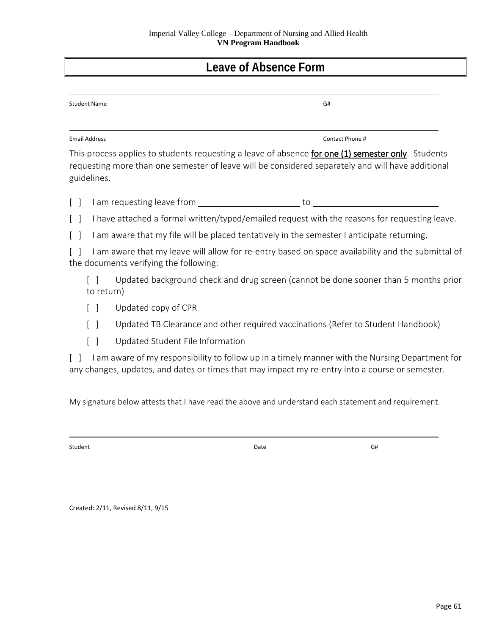# **Leave of Absence Form**

| <b>Student Name</b> | G# |  |
|---------------------|----|--|
|                     |    |  |

Email Address **Contact Phone #** Contact Phone #

This process applies to students requesting a leave of absence for one (1) semester only. Students requesting more than one semester of leave will be considered separately and will have additional guidelines.

[ ] I am requesting leave from to to to to to the result of the set of the set of the set of the set of the set of the set of the set of the set of the set of the set of the set of the set of the set of the set of the set

[ ] I have attached a formal written/typed/emailed request with the reasons for requesting leave.

[ ] I am aware that my file will be placed tentatively in the semester I anticipate returning.

[ ] I am aware that my leave will allow for re-entry based on space availability and the submittal of the documents verifying the following:

[ ] Updated background check and drug screen (cannot be done sooner than 5 months prior to return)

- [ ] Updated copy of CPR
- [ ] Updated TB Clearance and other required vaccinations (Refer to Student Handbook)
- [ ] Updated Student File Information

[ ] I am aware of my responsibility to follow up in a timely manner with the Nursing Department for any changes, updates, and dates or times that may impact my re-entry into a course or semester.

My signature below attests that I have read the above and understand each statement and requirement.

Student Communication of the Communication of the Communication of Date Communication of the Communication of the Communication of the Communication of the Communication of the Communication of the Communication of the Com

Created: 2/11, Revised 8/11, 9/15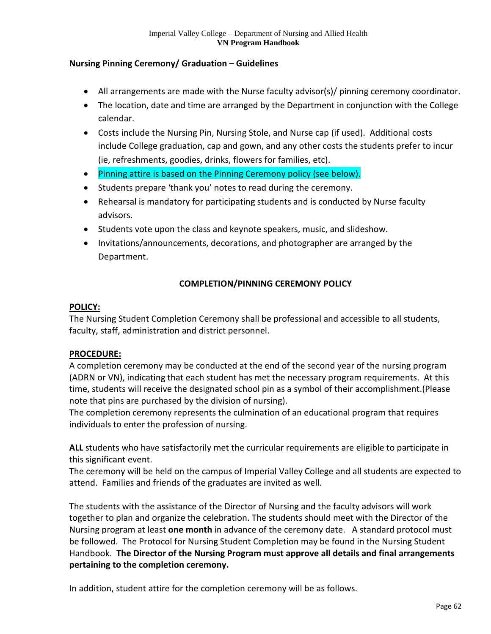# **Nursing Pinning Ceremony/ Graduation – Guidelines**

- All arrangements are made with the Nurse faculty advisor(s)/ pinning ceremony coordinator.
- The location, date and time are arranged by the Department in conjunction with the College calendar.
- Costs include the Nursing Pin, Nursing Stole, and Nurse cap (if used). Additional costs include College graduation, cap and gown, and any other costs the students prefer to incur (ie, refreshments, goodies, drinks, flowers for families, etc).
- Pinning attire is based on the Pinning Ceremony policy (see below).
- Students prepare 'thank you' notes to read during the ceremony.
- Rehearsal is mandatory for participating students and is conducted by Nurse faculty advisors.
- Students vote upon the class and keynote speakers, music, and slideshow.
- Invitations/announcements, decorations, and photographer are arranged by the Department.

# **COMPLETION/PINNING CEREMONY POLICY**

# **POLICY:**

The Nursing Student Completion Ceremony shall be professional and accessible to all students, faculty, staff, administration and district personnel.

# **PROCEDURE:**

A completion ceremony may be conducted at the end of the second year of the nursing program (ADRN or VN), indicating that each student has met the necessary program requirements. At this time, students will receive the designated school pin as a symbol of their accomplishment.(Please note that pins are purchased by the division of nursing).

The completion ceremony represents the culmination of an educational program that requires individuals to enter the profession of nursing.

**ALL** students who have satisfactorily met the curricular requirements are eligible to participate in this significant event.

The ceremony will be held on the campus of Imperial Valley College and all students are expected to attend. Families and friends of the graduates are invited as well.

The students with the assistance of the Director of Nursing and the faculty advisors will work together to plan and organize the celebration. The students should meet with the Director of the Nursing program at least **one month** in advance of the ceremony date. A standard protocol must be followed. The Protocol for Nursing Student Completion may be found in the Nursing Student Handbook. **The Director of the Nursing Program must approve all details and final arrangements pertaining to the completion ceremony.** 

In addition, student attire for the completion ceremony will be as follows.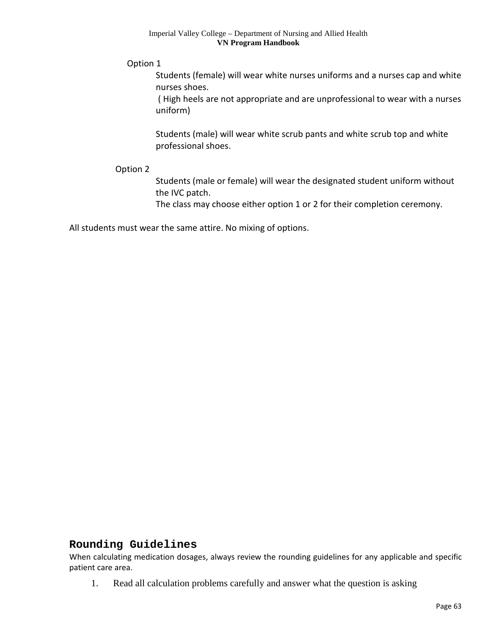Option 1

Students (female) will wear white nurses uniforms and a nurses cap and white nurses shoes.

( High heels are not appropriate and are unprofessional to wear with a nurses uniform)

Students (male) will wear white scrub pants and white scrub top and white professional shoes.

# Option 2

Students (male or female) will wear the designated student uniform without the IVC patch.

The class may choose either option 1 or 2 for their completion ceremony.

All students must wear the same attire. No mixing of options.

# **Rounding Guidelines**

When calculating medication dosages, always review the rounding guidelines for any applicable and specific patient care area.

1. Read all calculation problems carefully and answer what the question is asking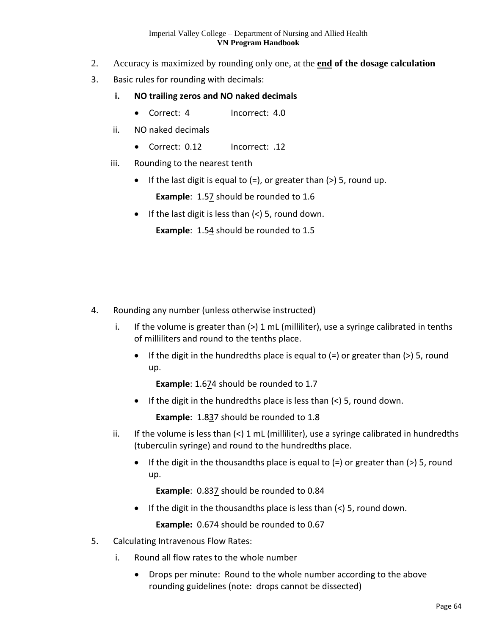- 2. Accuracy is maximized by rounding only one, at the **end of the dosage calculation**
- 3. Basic rules for rounding with decimals:
	- **i. NO trailing zeros and NO naked decimals** 
		- Correct: 4 Incorrect: 4.0
	- ii. NO naked decimals
		- Correct: 0.12 Incorrect: .12
	- iii. Rounding to the nearest tenth
		- If the last digit is equal to  $(=)$ , or greater than  $(>)$  5, round up.

**Example**: 1.57 should be rounded to 1.6

• If the last digit is less than  $\left\langle \epsilon \right\rangle$  5, round down.

**Example**: 1.54 should be rounded to 1.5

- 4. Rounding any number (unless otherwise instructed)
	- i. If the volume is greater than  $(>) 1$  mL (milliliter), use a syringe calibrated in tenths of milliliters and round to the tenths place.
		- If the digit in the hundredths place is equal to  $(=)$  or greater than  $(>)$  5, round up.

**Example**: 1.674 should be rounded to 1.7

• If the digit in the hundredths place is less than  $\left\langle \epsilon \right\rangle$  5, round down.

**Example**: 1.837 should be rounded to 1.8

- ii. If the volume is less than  $\left\langle \cdot \right\rangle$  1 mL (milliliter), use a syringe calibrated in hundredths (tuberculin syringe) and round to the hundredths place.
	- If the digit in the thousandths place is equal to  $(=)$  or greater than  $(>)$  5, round up.

**Example**: 0.837 should be rounded to 0.84

• If the digit in the thousandths place is less than  $\left\langle \epsilon \right\rangle$  5, round down.

**Example:** 0.674 should be rounded to 0.67

- 5. Calculating Intravenous Flow Rates:
	- i. Round all flow rates to the whole number
		- Drops per minute: Round to the whole number according to the above rounding guidelines (note: drops cannot be dissected)